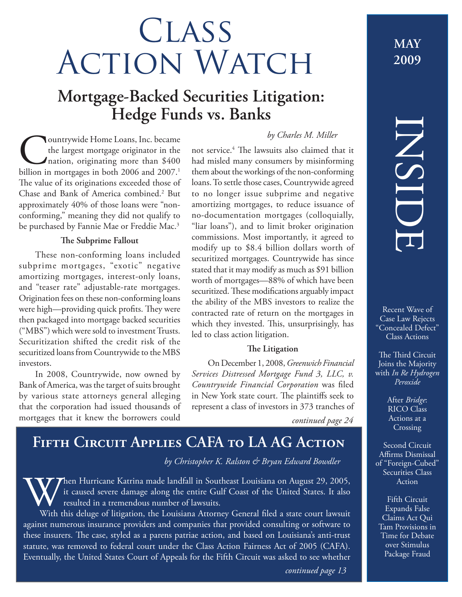# **CLASS ACTION WATCH**

# **Mortgage-Backed Securities Litigation: Hedge Funds vs. Banks**

### **Countrywide Home Loans, Inc. became**<br>the largest mortgage originator in the<br>nation, originating more than \$400<br>billion in mortgages in both 2006 and 2007.<sup>1</sup> the largest mortgage originator in the nation, originating more than \$400 billion in mortgages in both 2006 and 2007.<sup>1</sup> The value of its originations exceeded those of Chase and Bank of America combined.2 But approximately 40% of those loans were "nonconforming," meaning they did not qualify to be purchased by Fannie Mae or Freddie Mac.<sup>3</sup>

### **The Subprime Fallout**

These non-conforming loans included subprime mortgages, "exotic" negative amortizing mortgages, interest-only loans, and "teaser rate" adjustable-rate mortgages. Origination fees on these non-conforming loans were high—providing quick profits. They were then packaged into mortgage backed securities ("MBS") which were sold to investment Trusts. Securitization shifted the credit risk of the securitized loans from Countrywide to the MBS investors.

In 2008, Countrywide, now owned by Bank of America, was the target of suits brought by various state attorneys general alleging that the corporation had issued thousands of mortgages that it knew the borrowers could

### *by Charles M. Miller*

not service.<sup>4</sup> The lawsuits also claimed that it had misled many consumers by misinforming them about the workings of the non-conforming loans. To settle those cases, Countrywide agreed to no longer issue subprime and negative amortizing mortgages, to reduce issuance of no-documentation mortgages (colloquially, "liar loans"), and to limit broker origination commissions. Most importantly, it agreed to modify up to \$8.4 billion dollars worth of securitized mortgages. Countrywide has since stated that it may modify as much as \$91 billion worth of mortgages—88% of which have been securitized. These modifications arguably impact the ability of the MBS investors to realize the contracted rate of return on the mortgages in which they invested. This, unsurprisingly, has led to class action litigation.

### **The Litigation**

On December 1, 2008, *Greenwich Financial Services Distressed Mortgage Fund 3, LLC, v. Countrywide Financial Corporation* was filed in New York state court. The plaintiffs seek to represent a class of investors in 373 tranches of

*continued page 24*

# **Fifth Circuit Applies CAFA to LA AG Action**

### *by Christopher K. Ralston & Bryan Edward Bowdler*

When Hurricane Katrina made landfall in Southeast Louisiana on August 29, 2005,<br>it caused severe damage along the entire Gulf Coast of the United States. It also<br>With this deluge of litigation, the Louisiana Attorney Gener it caused severe damage along the entire Gulf Coast of the United States. It also resulted in a tremendous number of lawsuits.

With this deluge of litigation, the Louisiana Attorney General filed a state court lawsuit against numerous insurance providers and companies that provided consulting or software to these insurers. The case, styled as a parens patriae action, and based on Louisiana's anti-trust statute, was removed to federal court under the Class Action Fairness Act of 2005 (CAFA). Eventually, the United States Court of Appeals for the Fifth Circuit was asked to see whether

# **2009**

**MAY**

# INSIDE

Recent Wave of Case Law Rejects "Concealed Defect" Class Actions

The Third Circuit Joins the Majority with *In Re Hydrogen Peroxide*

> After *Bridge*: RICO Class Actions at a Crossing

Second Circuit Affirms Dismissal of "Foreign-Cubed" Securities Class Action

Fifth Circuit Expands False Claims Act Qui Tam Provisions in Time for Debate over Stimulus Package Fraud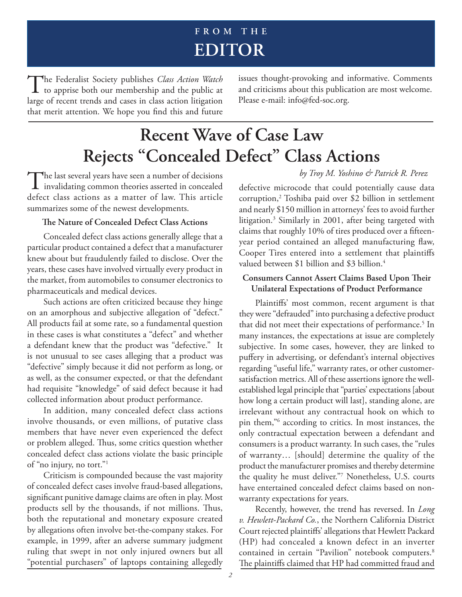## **FROM THE EDITOR**

The Federalist Society publishes *Class Action Watch*<br>to apprise both our membership and the public at large of recent trends and cases in class action litigation that merit attention. We hope you find this and future

issues thought-provoking and informative. Comments and criticisms about this publication are most welcome. Please e-mail: info@fed-soc.org.

# **Recent Wave of Case Law Rejects "Concealed Defect" Class Actions**

The last several years have seen a number of decisions<br>invalidating common theories asserted in concealed defect class actions as a matter of law. This article summarizes some of the newest developments.

### **The Nature of Concealed Defect Class Actions**

Concealed defect class actions generally allege that a particular product contained a defect that a manufacturer knew about but fraudulently failed to disclose. Over the years, these cases have involved virtually every product in the market, from automobiles to consumer electronics to pharmaceuticals and medical devices.

Such actions are often criticized because they hinge on an amorphous and subjective allegation of "defect." All products fail at some rate, so a fundamental question in these cases is what constitutes a "defect" and whether a defendant knew that the product was "defective." It is not unusual to see cases alleging that a product was "defective" simply because it did not perform as long, or as well, as the consumer expected, or that the defendant had requisite "knowledge" of said defect because it had collected information about product performance.

In addition, many concealed defect class actions involve thousands, or even millions, of putative class members that have never even experienced the defect or problem alleged. Thus, some critics question whether concealed defect class actions violate the basic principle of "no injury, no tort."1

Criticism is compounded because the vast majority of concealed defect cases involve fraud-based allegations, significant punitive damage claims are often in play. Most products sell by the thousands, if not millions. Thus, both the reputational and monetary exposure created by allegations often involve bet-the-company stakes. For example, in 1999, after an adverse summary judgment ruling that swept in not only injured owners but all "potential purchasers" of laptops containing allegedly *by Troy M. Yoshino & Patrick R. Perez*

defective microcode that could potentially cause data corruption,2 Toshiba paid over \$2 billion in settlement and nearly \$150 million in attorneys' fees to avoid further litigation.3 Similarly in 2001, after being targeted with claims that roughly 10% of tires produced over a fifteenyear period contained an alleged manufacturing flaw, Cooper Tires entered into a settlement that plaintiffs valued between \$1 billion and \$3 billion.<sup>4</sup>

### **Consumers Cannot Assert Claims Based Upon Their Unilateral Expectations of Product Performance**

Plaintiffs' most common, recent argument is that they were "defrauded" into purchasing a defective product that did not meet their expectations of performance.<sup>5</sup> In many instances, the expectations at issue are completely subjective. In some cases, however, they are linked to puffery in advertising, or defendant's internal objectives regarding "useful life," warranty rates, or other customersatisfaction metrics. All of these assertions ignore the wellestablished legal principle that "parties' expectations [about how long a certain product will last], standing alone, are irrelevant without any contractual hook on which to pin them,"6 according to critics. In most instances, the only contractual expectation between a defendant and consumers is a product warranty. In such cases, the "rules of warranty… [should] determine the quality of the product the manufacturer promises and thereby determine the quality he must deliver."7 Nonetheless, U.S. courts have entertained concealed defect claims based on nonwarranty expectations for years.

Recently, however, the trend has reversed. In *Long v. Hewlett-Packard Co.*, the Northern California District Court rejected plaintiffs' allegations that Hewlett Packard (HP) had concealed a known defect in an inverter contained in certain "Pavilion" notebook computers.<sup>8</sup> The plaintiffs claimed that HP had committed fraud and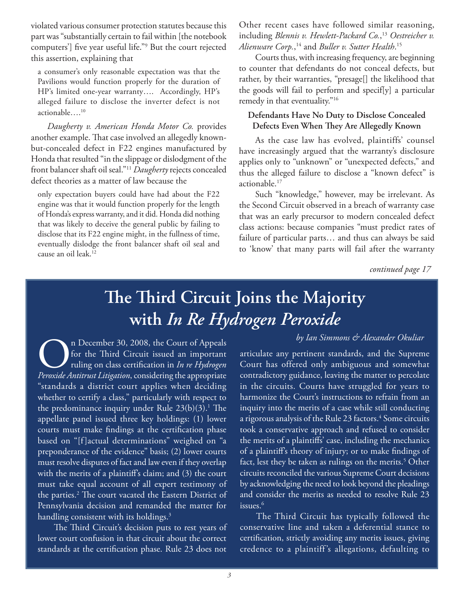violated various consumer protection statutes because this part was "substantially certain to fail within [the notebook computers'] five year useful life."<sup>9</sup> But the court rejected this assertion, explaining that

a consumer's only reasonable expectation was that the Pavilions would function properly for the duration of HP's limited one-year warranty…. Accordingly, HP's alleged failure to disclose the inverter defect is not actionable….10

*Daugherty v. American Honda Motor Co.* provides another example. That case involved an allegedly knownbut-concealed defect in F22 engines manufactured by Honda that resulted "in the slippage or dislodgment of the front balancer shaft oil seal."11 *Daugherty* rejects concealed defect theories as a matter of law because the

only expectation buyers could have had about the F22 engine was that it would function properly for the length of Honda's express warranty, and it did. Honda did nothing that was likely to deceive the general public by failing to disclose that its F22 engine might, in the fullness of time, eventually dislodge the front balancer shaft oil seal and cause an oil leak.<sup>12</sup>

Other recent cases have followed similar reasoning, including *Blennis v. Hewlett-Packard Co.*, <sup>13</sup> *Oestreicher v. Alienware Corp.*, 14 and *Buller v. Sutter Health*. 15

Courts thus, with increasing frequency, are beginning to counter that defendants do not conceal defects, but rather, by their warranties, "presage[] the likelihood that the goods will fail to perform and specif[y] a particular remedy in that eventuality."<sup>16</sup>

### **Defendants Have No Duty to Disclose Concealed Defects Even When They Are Allegedly Known**

As the case law has evolved, plaintiffs' counsel have increasingly argued that the warranty's disclosure applies only to "unknown" or "unexpected defects," and thus the alleged failure to disclose a "known defect" is actionable.17

Such "knowledge," however, may be irrelevant. As the Second Circuit observed in a breach of warranty case that was an early precursor to modern concealed defect class actions: because companies "must predict rates of failure of particular parts… and thus can always be said to 'know' that many parts will fail after the warranty

*continued page 17*

# The Third Circuit Joins the Majority **with** *In Re Hydrogen Peroxide*

n December 30, 2008, the Court of Appeals for the Third Circuit issued an important ruling on class certifi cation in *In re Hydrogen Peroxide Antitrust Litigation*, considering the appropriate "standards a district court applies when deciding whether to certify a class," particularly with respect to the predominance inquiry under Rule  $23(b)(3).<sup>1</sup>$  The appellate panel issued three key holdings: (1) lower courts must make findings at the certification phase based on "[f] actual determinations" weighed on "a preponderance of the evidence" basis; (2) lower courts must resolve disputes of fact and law even if they overlap with the merits of a plaintiff's claim; and  $(3)$  the court must take equal account of all expert testimony of the parties.<sup>2</sup> The court vacated the Eastern District of Pennsylvania decision and remanded the matter for handling consistent with its holdings.<sup>3</sup>

The Third Circuit's decision puts to rest years of lower court confusion in that circuit about the correct standards at the certification phase. Rule 23 does not

articulate any pertinent standards, and the Supreme Court has offered only ambiguous and somewhat contradictory guidance, leaving the matter to percolate in the circuits. Courts have struggled for years to harmonize the Court's instructions to refrain from an inquiry into the merits of a case while still conducting a rigorous analysis of the Rule 23 factors.<sup>4</sup> Some circuits took a conservative approach and refused to consider the merits of a plaintiffs' case, including the mechanics of a plaintiff's theory of injury; or to make findings of fact, lest they be taken as rulings on the merits.<sup>5</sup> Other circuits reconciled the various Supreme Court decisions by acknowledging the need to look beyond the pleadings and consider the merits as needed to resolve Rule 23 issues.<sup>6</sup>

*by Ian Simmons & Alexander Okuliar*

The Third Circuit has typically followed the conservative line and taken a deferential stance to certification, strictly avoiding any merits issues, giving credence to a plaintiff's allegations, defaulting to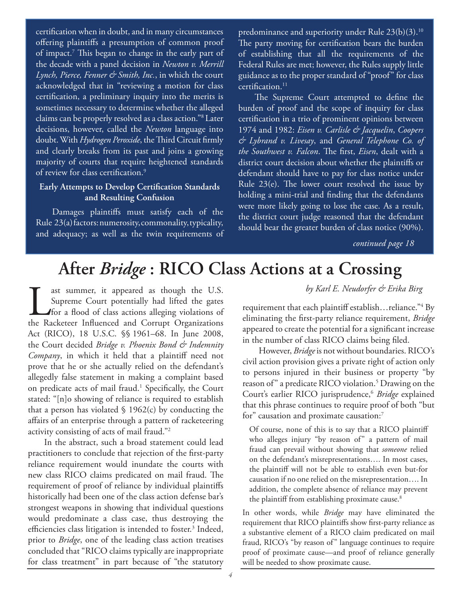certification when in doubt, and in many circumstances offering plaintiffs a presumption of common proof of impact.<sup>7</sup> This began to change in the early part of the decade with a panel decision in *Newton v. Merrill Lynch, Pierce, Fenner & Smith, Inc.*, in which the court acknowledged that in "reviewing a motion for class certification, a preliminary inquiry into the merits is sometimes necessary to determine whether the alleged claims can be properly resolved as a class action."8 Later decisions, however, called the *Newton* language into doubt. With *Hydrogen Peroxide*, the Third Circuit firmly and clearly breaks from its past and joins a growing majority of courts that require heightened standards of review for class certification.<sup>9</sup>

### **Early Attempts to Develop Certification Standards and Resulting Confusion**

Damages plaintiffs must satisfy each of the Rule 23(a) factors: numerosity, commonality, typicality, and adequacy; as well as the twin requirements of predominance and superiority under Rule 23(b)(3).10 The party moving for certification bears the burden of establishing that all the requirements of the Federal Rules are met; however, the Rules supply little guidance as to the proper standard of "proof" for class  $c$ ertification. $11$ 

The Supreme Court attempted to define the burden of proof and the scope of inquiry for class certification in a trio of prominent opinions between 1974 and 1982: *Eisen v. Carlisle & Jacquelin*, *Coopers & Lybrand v. Livesay*, and *General Telephone Co. of the Southwest v. Falcon*. The first, *Eisen*, dealt with a district court decision about whether the plaintiffs or defendant should have to pay for class notice under Rule  $23(e)$ . The lower court resolved the issue by holding a mini-trial and finding that the defendants were more likely going to lose the case. As a result, the district court judge reasoned that the defendant should bear the greater burden of class notice (90%).

*continued page 18*

# **After** *Bridge* **: RICO Class Actions at a Crossing**

ast summer, it appeared as though the U.S.<br>Supreme Court potentially had lifted the gates<br>for a flood of class actions alleging violations of<br>the Racketeer Influenced and Corrupt Organizations Supreme Court potentially had lifted the gates for a flood of class actions alleging violations of the Racketeer Influenced and Corrupt Organizations Act (RICO), 18 U.S.C. §§ 1961–68. In June 2008, the Court decided *Bridge v. Phoenix Bond & Indemnity Company*, in which it held that a plaintiff need not prove that he or she actually relied on the defendant's allegedly false statement in making a complaint based on predicate acts of mail fraud.<sup>1</sup> Specifically, the Court stated: "[n]o showing of reliance is required to establish that a person has violated  $\S$  1962(c) by conducting the affairs of an enterprise through a pattern of racketeering activity consisting of acts of mail fraud."2

In the abstract, such a broad statement could lead practitioners to conclude that rejection of the first-party reliance requirement would inundate the courts with new class RICO claims predicated on mail fraud. The requirement of proof of reliance by individual plaintiffs historically had been one of the class action defense bar's strongest weapons in showing that individual questions would predominate a class case, thus destroying the efficiencies class litigation is intended to foster.<sup>3</sup> Indeed, prior to *Bridge*, one of the leading class action treatises concluded that "RICO claims typically are inappropriate for class treatment" in part because of "the statutory

*by Karl E. Neudorfer & Erika Birg*

requirement that each plaintiff establish…reliance."4 By eliminating the first-party reliance requirement, *Bridge* appeared to create the potential for a significant increase in the number of class RICO claims being filed.

However, *Bridge* is not without boundaries. RICO's civil action provision gives a private right of action only to persons injured in their business or property "by reason of" a predicate RICO violation.<sup>5</sup> Drawing on the Court's earlier RICO jurisprudence,6 *Bridge* explained that this phrase continues to require proof of both "but for" causation and proximate causation:7

Of course, none of this is to say that a RICO plaintiff who alleges injury "by reason of" a pattern of mail fraud can prevail without showing that *someone* relied on the defendant's misrepresentations…. In most cases, the plaintiff will not be able to establish even but-for causation if no one relied on the misrepresentation…. In addition, the complete absence of reliance may prevent the plaintiff from establishing proximate cause.<sup>8</sup>

In other words, while *Bridge* may have eliminated the requirement that RICO plaintiffs show first-party reliance as a substantive element of a RICO claim predicated on mail fraud, RICO's "by reason of" language continues to require proof of proximate cause—and proof of reliance generally will be needed to show proximate cause.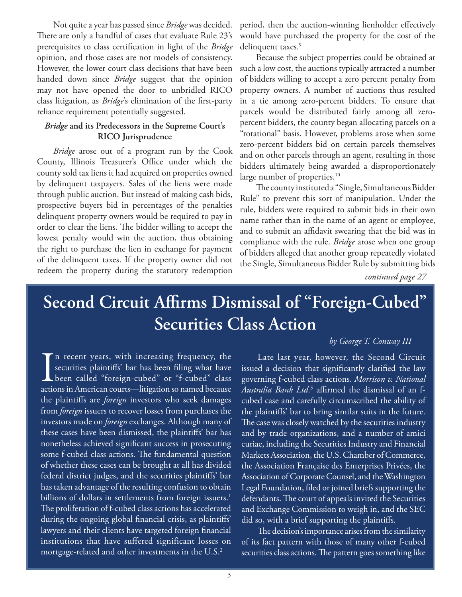Not quite a year has passed since *Bridge* was decided. There are only a handful of cases that evaluate Rule 23's prerequisites to class certification in light of the *Bridge* opinion, and those cases are not models of consistency. However, the lower court class decisions that have been handed down since *Bridge* suggest that the opinion may not have opened the door to unbridled RICO class litigation, as *Bridge's* elimination of the first-party reliance requirement potentially suggested.

### *Bridge* **and its Predecessors in the Supreme Court's RICO Jurisprudence**

*Bridge* arose out of a program run by the Cook County, Illinois Treasurer's Office under which the county sold tax liens it had acquired on properties owned by delinquent taxpayers. Sales of the liens were made through public auction. But instead of making cash bids, prospective buyers bid in percentages of the penalties delinquent property owners would be required to pay in order to clear the liens. The bidder willing to accept the lowest penalty would win the auction, thus obtaining the right to purchase the lien in exchange for payment of the delinquent taxes. If the property owner did not redeem the property during the statutory redemption period, then the auction-winning lienholder effectively would have purchased the property for the cost of the delinquent taxes.<sup>9</sup>

Because the subject properties could be obtained at such a low cost, the auctions typically attracted a number of bidders willing to accept a zero percent penalty from property owners. A number of auctions thus resulted in a tie among zero-percent bidders. To ensure that parcels would be distributed fairly among all zeropercent bidders, the county began allocating parcels on a "rotational" basis. However, problems arose when some zero-percent bidders bid on certain parcels themselves and on other parcels through an agent, resulting in those bidders ultimately being awarded a disproportionately large number of properties.<sup>10</sup>

The county instituted a "Single, Simultaneous Bidder Rule" to prevent this sort of manipulation. Under the rule, bidders were required to submit bids in their own name rather than in the name of an agent or employee, and to submit an affidavit swearing that the bid was in compliance with the rule. *Bridge* arose when one group of bidders alleged that another group repeatedly violated the Single, Simultaneous Bidder Rule by submitting bids

*continued page 27*

# Second Circuit Affirms Dismissal of "Foreign-Cubed" **Securities Class Action**

### *by George T. Conway III*

I<br>action n recent years, with increasing frequency, the securities plaintiffs' bar has been filing what have been called "foreign-cubed" or "f-cubed" class actions in American courts—litigation so named because the plaintiffs are *foreign* investors who seek damages from *foreign* issuers to recover losses from purchases the investors made on *foreign* exchanges. Although many of these cases have been dismissed, the plaintiffs' bar has nonetheless achieved significant success in prosecuting some f-cubed class actions. The fundamental question of whether these cases can be brought at all has divided federal district judges, and the securities plaintiffs' bar has taken advantage of the resulting confusion to obtain billions of dollars in settlements from foreign issuers.<sup>1</sup> The proliferation of f-cubed class actions has accelerated during the ongoing global financial crisis, as plaintiffs' lawyers and their clients have targeted foreign financial institutions that have suffered significant losses on mortgage-related and other investments in the U.S. $2$ 

Late last year, however, the Second Circuit issued a decision that significantly clarified the law governing f-cubed class actions. *Morrison v. National Australia Bank Ltd*.<sup>3</sup> affirmed the dismissal of an fcubed case and carefully circumscribed the ability of the plaintiffs' bar to bring similar suits in the future. The case was closely watched by the securities industry and by trade organizations, and a number of amici curiae, including the Securities Industry and Financial Markets Association, the U.S. Chamber of Commerce, the Association Française des Enterprises Privées, the Association of Corporate Counsel, and the Washington Legal Foundation, filed or joined briefs supporting the defendants. The court of appeals invited the Securities and Exchange Commission to weigh in, and the SEC did so, with a brief supporting the plaintiffs.

The decision's importance arises from the similarity of its fact pattern with those of many other f-cubed securities class actions. The pattern goes something like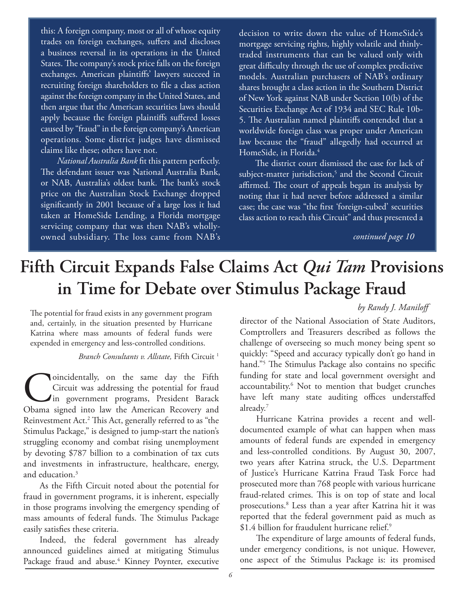this: A foreign company, most or all of whose equity trades on foreign exchanges, suffers and discloses a business reversal in its operations in the United States. The company's stock price falls on the foreign exchanges. American plaintiffs' lawyers succeed in recruiting foreign shareholders to file a class action against the foreign company in the United States, and then argue that the American securities laws should apply because the foreign plaintiffs suffered losses caused by "fraud" in the foreign company's American operations. Some district judges have dismissed claims like these; others have not.

*National Australia Bank* fit this pattern perfectly. The defendant issuer was National Australia Bank, or NAB, Australia's oldest bank. The bank's stock price on the Australian Stock Exchange dropped significantly in 2001 because of a large loss it had taken at HomeSide Lending, a Florida mortgage servicing company that was then NAB's whollyowned subsidiary. The loss came from NAB's *continued page 10*

decision to write down the value of HomeSide's mortgage servicing rights, highly volatile and thinlytraded instruments that can be valued only with great difficulty through the use of complex predictive models. Australian purchasers of NAB's ordinary shares brought a class action in the Southern District of New York against NAB under Section 10(b) of the Securities Exchange Act of 1934 and SEC Rule 10b-5. The Australian named plaintiffs contended that a worldwide foreign class was proper under American law because the "fraud" allegedly had occurred at HomeSide, in Florida.4

The district court dismissed the case for lack of subject-matter jurisdiction,<sup>5</sup> and the Second Circuit affirmed. The court of appeals began its analysis by noting that it had never before addressed a similar case; the case was "the first 'foreign-cubed' securities class action to reach this Circuit" and thus presented a

# **Fifth Circuit Expands False Claims Act** *Qui Tam* **Provisions in Time for Debate over Stimulus Package Fraud**

The potential for fraud exists in any government program and, certainly, in the situation presented by Hurricane Katrina where mass amounts of federal funds were expended in emergency and less-controlled conditions.

*Branch Consultants v. Allstate,* Fifth Circuit <sup>1</sup>

Circuit was addressing the potential for fraud<br>in government programs, President Barack<br>Obama signed into law the American Recovery and Circuit was addressing the potential for fraud in government programs, President Barack Obama signed into law the American Recovery and Reinvestment Act.<sup>2</sup> This Act, generally referred to as "the Stimulus Package," is designed to jump-start the nation's struggling economy and combat rising unemployment by devoting \$787 billion to a combination of tax cuts and investments in infrastructure, healthcare, energy, and education.<sup>3</sup>

As the Fifth Circuit noted about the potential for fraud in government programs, it is inherent, especially in those programs involving the emergency spending of mass amounts of federal funds. The Stimulus Package easily satisfies these criteria.

Indeed, the federal government has already announced guidelines aimed at mitigating Stimulus Package fraud and abuse.<sup>4</sup> Kinney Poynter, executive

director of the National Association of State Auditors, Comptrollers and Treasurers described as follows the challenge of overseeing so much money being spent so quickly: "Speed and accuracy typically don't go hand in hand."<sup>5</sup> The Stimulus Package also contains no specific funding for state and local government oversight and accountability.<sup>6</sup> Not to mention that budget crunches have left many state auditing offices understaffed already.7

Hurricane Katrina provides a recent and welldocumented example of what can happen when mass amounts of federal funds are expended in emergency and less-controlled conditions. By August 30, 2007, two years after Katrina struck, the U.S. Department of Justice's Hurricane Katrina Fraud Task Force had prosecuted more than 768 people with various hurricane fraud-related crimes. This is on top of state and local prosecutions.8 Less than a year after Katrina hit it was reported that the federal government paid as much as \$1.4 billion for fraudulent hurricane relief.9

The expenditure of large amounts of federal funds, under emergency conditions, is not unique. However, one aspect of the Stimulus Package is: its promised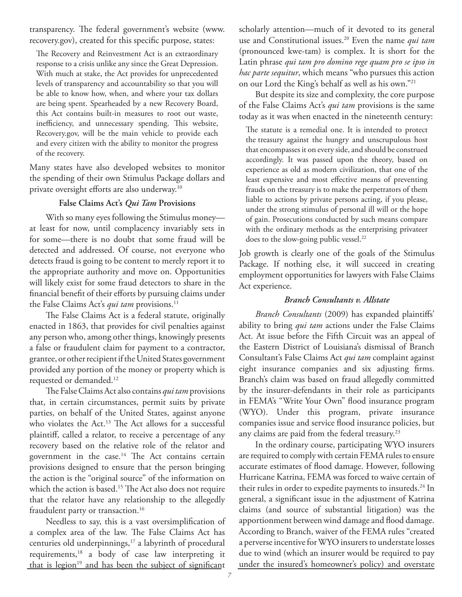transparency. The federal government's website (www. recovery.gov), created for this specific purpose, states:

The Recovery and Reinvestment Act is an extraordinary response to a crisis unlike any since the Great Depression. With much at stake, the Act provides for unprecedented levels of transparency and accountability so that you will be able to know how, when, and where your tax dollars are being spent. Spearheaded by a new Recovery Board, this Act contains built-in measures to root out waste, inefficiency, and unnecessary spending. This website, Recovery.gov, will be the main vehicle to provide each and every citizen with the ability to monitor the progress of the recovery.

Many states have also developed websites to monitor the spending of their own Stimulus Package dollars and private oversight efforts are also underway.<sup>10</sup>

### **False Claims Act's** *Qui Tam* **Provisions**

With so many eyes following the Stimulus money at least for now, until complacency invariably sets in for some—there is no doubt that some fraud will be detected and addressed. Of course, not everyone who detects fraud is going to be content to merely report it to the appropriate authority and move on. Opportunities will likely exist for some fraud detectors to share in the financial benefit of their efforts by pursuing claims under the False Claims Act's *qui tam* provisions.<sup>11</sup>

The False Claims Act is a federal statute, originally enacted in 1863, that provides for civil penalties against any person who, among other things, knowingly presents a false or fraudulent claim for payment to a contractor, grantee, or other recipient if the United States government provided any portion of the money or property which is requested or demanded.12

The False Claims Act also contains *qui tam* provisions that, in certain circumstances, permit suits by private parties, on behalf of the United States, against anyone who violates the Act.<sup>13</sup> The Act allows for a successful plaintiff, called a relator, to receive a percentage of any recovery based on the relative role of the relator and government in the case.<sup>14</sup> The Act contains certain provisions designed to ensure that the person bringing the action is the "original source" of the information on which the action is based.<sup>15</sup> The Act also does not require that the relator have any relationship to the allegedly fraudulent party or transaction.<sup>16</sup>

Needless to say, this is a vast oversimplification of a complex area of the law. The False Claims Act has centuries old underpinnings,17 a labyrinth of procedural requirements,18 a body of case law interpreting it that is legion<sup>19</sup> and has been the subject of significant scholarly attention—much of it devoted to its general use and Constitutional issues.20 Even the name *qui tam* (pronounced kwe-tam) is complex. It is short for the Latin phrase *qui tam pro domino rege quam pro se ipso in hac parte sequitur*, which means "who pursues this action on our Lord the King's behalf as well as his own."21

But despite its size and complexity, the core purpose of the False Claims Act's *qui tam* provisions is the same today as it was when enacted in the nineteenth century:

The statute is a remedial one. It is intended to protect the treasury against the hungry and unscrupulous host that encompasses it on every side, and should be construed accordingly. It was passed upon the theory, based on experience as old as modern civilization, that one of the least expensive and most effective means of preventing frauds on the treasury is to make the perpetrators of them liable to actions by private persons acting, if you please, under the strong stimulus of personal ill will or the hope of gain. Prosecutions conducted by such means compare with the ordinary methods as the enterprising privateer does to the slow-going public vessel.<sup>22</sup>

Job growth is clearly one of the goals of the Stimulus Package. If nothing else, it will succeed in creating employment opportunities for lawyers with False Claims Act experience.

### *Branch Consultants v. Allstate*

Branch Consultants (2009) has expanded plaintiffs' ability to bring *qui tam* actions under the False Claims Act. At issue before the Fifth Circuit was an appeal of the Eastern District of Louisiana's dismissal of Branch Consultant's False Claims Act *qui tam* complaint against eight insurance companies and six adjusting firms. Branch's claim was based on fraud allegedly committed by the insurer-defendants in their role as participants in FEMA's "Write Your Own" flood insurance program (WYO). Under this program, private insurance companies issue and service flood insurance policies, but any claims are paid from the federal treasury.23

In the ordinary course, participating WYO insurers are required to comply with certain FEMA rules to ensure accurate estimates of flood damage. However, following Hurricane Katrina, FEMA was forced to waive certain of their rules in order to expedite payments to insureds.<sup>24</sup> In general, a significant issue in the adjustment of Katrina claims (and source of substantial litigation) was the apportionment between wind damage and flood damage. According to Branch, waiver of the FEMA rules "created a perverse incentive for WYO insurers to understate losses due to wind (which an insurer would be required to pay under the insured's homeowner's policy) and overstate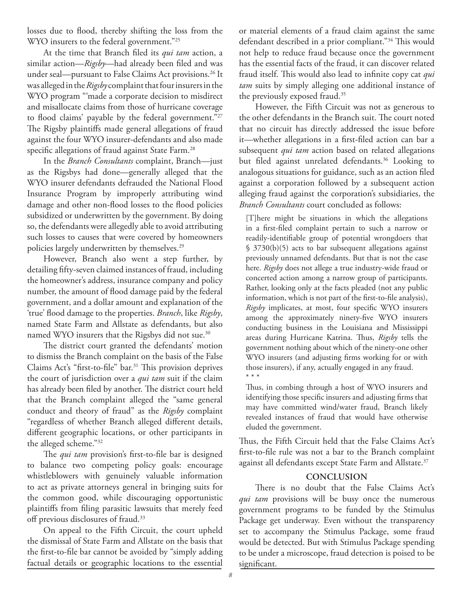losses due to flood, thereby shifting the loss from the WYO insurers to the federal government."<sup>25</sup>

At the time that Branch filed its *qui tam* action, a similar action—*Rigsby*—had already been filed and was under seal—pursuant to False Claims Act provisions.<sup>26</sup> It was alleged in the *Rigsby* complaint that four insurers in the WYO program "'made a corporate decision to misdirect and misallocate claims from those of hurricane coverage to flood claims' payable by the federal government."<sup>27</sup> The Rigsby plaintiffs made general allegations of fraud against the four WYO insurer-defendants and also made specific allegations of fraud against State Farm.<sup>28</sup>

In the *Branch Consultants* complaint, Branch—just as the Rigsbys had done—generally alleged that the WYO insurer defendants defrauded the National Flood Insurance Program by improperly attributing wind damage and other non-flood losses to the flood policies subsidized or underwritten by the government. By doing so, the defendants were allegedly able to avoid attributing such losses to causes that were covered by homeowners policies largely underwritten by themselves.29

However, Branch also went a step further, by detailing fifty-seven claimed instances of fraud, including the homeowner's address, insurance company and policy number, the amount of flood damage paid by the federal government, and a dollar amount and explanation of the 'true' fl ood damage to the properties. *Branch*, like *Rigsby*, named State Farm and Allstate as defendants, but also named WYO insurers that the Rigsbys did not sue.<sup>30</sup>

The district court granted the defendants' motion to dismiss the Branch complaint on the basis of the False Claims Act's "first-to-file" bar.<sup>31</sup> This provision deprives the court of jurisdiction over a *qui tam* suit if the claim has already been filed by another. The district court held that the Branch complaint alleged the "same general conduct and theory of fraud" as the *Rigsby* complaint "regardless of whether Branch alleged different details, different geographic locations, or other participants in the alleged scheme."32

The *qui tam* provision's first-to-file bar is designed to balance two competing policy goals: encourage whistleblowers with genuinely valuable information to act as private attorneys general in bringing suits for the common good, while discouraging opportunistic plaintiffs from filing parasitic lawsuits that merely feed off previous disclosures of fraud.33

On appeal to the Fifth Circuit, the court upheld the dismissal of State Farm and Allstate on the basis that the first-to-file bar cannot be avoided by "simply adding factual details or geographic locations to the essential

or material elements of a fraud claim against the same defendant described in a prior compliant."<sup>34</sup> This would not help to reduce fraud because once the government has the essential facts of the fraud, it can discover related fraud itself. This would also lead to infinite copy cat *qui tam* suits by simply alleging one additional instance of the previously exposed fraud.<sup>35</sup>

However, the Fifth Circuit was not as generous to the other defendants in the Branch suit. The court noted that no circuit has directly addressed the issue before it—whether allegations in a first-filed action can bar a subsequent *qui tam* action based on related allegations but filed against unrelated defendants.<sup>36</sup> Looking to analogous situations for guidance, such as an action filed against a corporation followed by a subsequent action alleging fraud against the corporation's subsidiaries, the *Branch Consultants* court concluded as follows:

[T]here might be situations in which the allegations in a first-filed complaint pertain to such a narrow or readily-identifiable group of potential wrongdoers that § 3730(b)(5) acts to bar subsequent allegations against previously unnamed defendants. But that is not the case here. *Rigsby* does not allege a true industry-wide fraud or concerted action among a narrow group of participants. Rather, looking only at the facts pleaded (not any public information, which is not part of the first-to-file analysis), *Rigsby* implicates, at most, four specific WYO insurers among the approximately ninety-five WYO insurers conducting business in the Louisiana and Mississippi areas during Hurricane Katrina. Thus, *Rigsby* tells the government nothing about which of the ninety-one other WYO insurers (and adjusting firms working for or with those insurers), if any, actually engaged in any fraud. \* \* \*

Thus, in combing through a host of WYO insurers and identifying those specific insurers and adjusting firms that may have committed wind/water fraud, Branch likely revealed instances of fraud that would have otherwise eluded the government.

Thus, the Fifth Circuit held that the False Claims Act's first-to-file rule was not a bar to the Branch complaint against all defendants except State Farm and Allstate.<sup>37</sup>

### **CONCLUSION**

There is no doubt that the False Claims Act's *qui tam* provisions will be busy once the numerous government programs to be funded by the Stimulus Package get underway. Even without the transparency set to accompany the Stimulus Package, some fraud would be detected. But with Stimulus Package spending to be under a microscope, fraud detection is poised to be significant.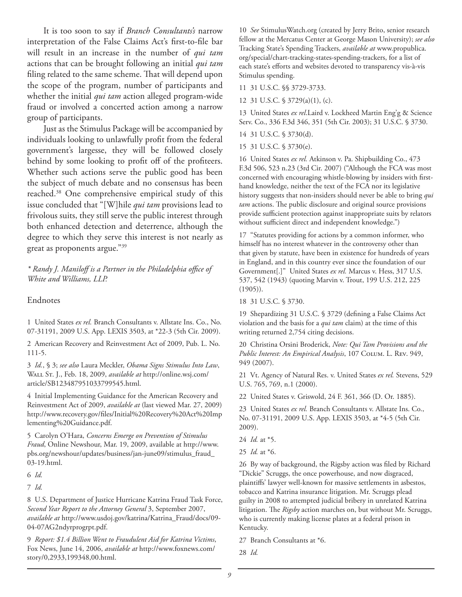It is too soon to say if *Branch Consultants's* narrow interpretation of the False Claims Act's first-to-file bar will result in an increase in the number of *qui tam* actions that can be brought following an initial *qui tam* filing related to the same scheme. That will depend upon the scope of the program, number of participants and whether the initial *qui tam* action alleged program-wide fraud or involved a concerted action among a narrow group of participants.

Just as the Stimulus Package will be accompanied by individuals looking to unlawfully profit from the federal government's largesse, they will be followed closely behind by some looking to profit off of the profiteers. Whether such actions serve the public good has been the subject of much debate and no consensus has been reached.38 One comprehensive empirical study of this issue concluded that "[W]hile *qui tam* provisions lead to frivolous suits, they still serve the public interest through both enhanced detection and deterrence, although the degree to which they serve this interest is not nearly as great as proponents argue."39

*\* Randy J. Maniloff is a Partner in the Philadelphia offi ce of White and Williams, LLP.*

### Endnotes

1 United States *ex rel.* Branch Consultants v. Allstate Ins. Co., No. 07-31191, 2009 U.S. App. LEXIS 3503, at \*22-3 (5th Cir. 2009).

2 American Recovery and Reinvestment Act of 2009, Pub. L. No. 111-5.

3 *Id.*, § 3; *see also* Laura Meckler, *Obama Signs Stimulus Into Law*, Wall St. J., Feb. 18, 2009, *available at* http://online.wsj.com/ article/SB123487951033799545.html.

4 Initial Implementing Guidance for the American Recovery and Reinvestment Act of 2009, *available at* (last viewed Mar. 27, 2009) http://www.recovery.gov/files/Initial%20Recovery%20Act%20Imp lementing%20Guidance.pdf.

5 Carolyn O'Hara, *Concerns Emerge on Prevention of Stimulus Fraud*, Online Newshour, Mar. 19, 2009, available at http://www. pbs.org/newshour/updates/business/jan-june09/stimulus\_fraud\_ 03-19.html.

6 *Id.*

7 *Id.*

8 U.S. Department of Justice Hurricane Katrina Fraud Task Force, *Second Year Report to the Attorney General* 3, September 2007, *available at* http://www.usdoj.gov/katrina/Katrina\_Fraud/docs/09- 04-07AG2ndyrprogrpt.pdf.

9 *Report: \$1.4 Billion Went to Fraudulent Aid for Katrina Victims*, Fox News, June 14, 2006, *available at* http://www.foxnews.com/ story/0,2933,199348,00.html.

10 *See* StimulusWatch.org (created by Jerry Brito, senior research fellow at the Mercatus Center at George Mason University); *see also* Tracking State's Spending Trackers, *available at* www.propublica. org/special/chart-tracking-states-spending-trackers, for a list of each state's efforts and websites devoted to transparency vis-à-vis Stimulus spending.

11 31 U.S.C. §§ 3729-3733.

12 31 U.S.C. § 3729(a)(1), (c).

13 United States *ex rel*.Laird v. Lockheed Martin Eng'g & Science Serv. Co., 336 F.3d 346, 351 (5th Cir. 2003); 31 U.S.C. § 3730.

- 14 31 U.S.C. § 3730(d).
- 15 31 U.S.C. § 3730(e).

16 United States *ex rel.* Atkinson v. Pa. Shipbuilding Co., 473 F.3d 506, 523 n.23 (3rd Cir. 2007) ("Although the FCA was most concerned with encouraging whistle-blowing by insiders with firsthand knowledge, neither the text of the FCA nor its legislative history suggests that non-insiders should never be able to bring *qui tam* actions. The public disclosure and original source provisions provide sufficient protection against inappropriate suits by relators without sufficient direct and independent knowledge.")

17 "Statutes providing for actions by a common informer, who himself has no interest whatever in the controversy other than that given by statute, have been in existence for hundreds of years in England, and in this country ever since the foundation of our Government[.]" United States *ex rel.* Marcus v. Hess, 317 U.S. 537, 542 (1943) (quoting Marvin v. Trout, 199 U.S. 212, 225 (1905)).

18 31 U.S.C. § 3730.

19 Shepardizing 31 U.S.C. § 3729 (defining a False Claims Act violation and the basis for a *qui tam* claim) at the time of this writing returned 2,754 citing decisions.

20 Christina Orsini Broderick, *Note: Qui Tam Provisions and the Public Interest: An Empirical Analysis*, 107 Colum. L. Rev. 949, 949 (2007).

21 Vt. Agency of Natural Res. v. United States *ex rel.* Stevens, 529 U.S. 765, 769, n.1 (2000).

22 United States v. Griswold, 24 F. 361, 366 (D. Or. 1885).

23 United States *ex rel.* Branch Consultants v. Allstate Ins. Co., No. 07-31191, 2009 U.S. App. LEXIS 3503, at \*4-5 (5th Cir. 2009).

24 *Id.* at \*5.

25 *Id.* at \*6.

26 By way of background, the Rigsby action was filed by Richard "Dickie" Scruggs, the once powerhouse, and now disgraced, plaintiffs' lawyer well-known for massive settlements in asbestos, tobacco and Katrina insurance litigation. Mr. Scruggs plead guilty in 2008 to attempted judicial bribery in unrelated Katrina litigation. The *Rigsby* action marches on, but without Mr. Scruggs, who is currently making license plates at a federal prison in Kentucky.

27 Branch Consultants at \*6.

28 *Id.*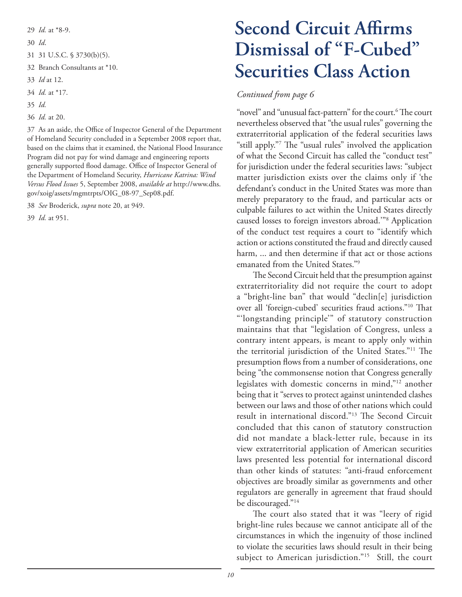- 29 *Id.* at \*8-9.
- 30 *Id*.
- 31 31 U.S.C. § 3730(b)(5).
- 32 Branch Consultants at \*10.
- 33 *Id* at 12.
- 34 *Id.* at \*17.
- 35 *Id.*
- 36 *Id.* at 20.

37 As an aside, the Office of Inspector General of the Department of Homeland Security concluded in a September 2008 report that, based on the claims that it examined, the National Flood Insurance Program did not pay for wind damage and engineering reports generally supported flood damage. Office of Inspector General of the Department of Homeland Security, *Hurricane Katrina: Wind Versus Flood Issues* 5, September 2008, *available at* http://www.dhs. gov/xoig/assets/mgmtrpts/OIG\_08-97\_Sep08.pdf.

38 *See* Broderick, *supra* note 20, at 949.

39 *Id.* at 951.

# **Second Circuit Affirms Dismissal of "F-Cubed" Securities Class Action**

### *Continued from page 6*

"novel" and "unusual fact-pattern" for the court.<sup>6</sup> The court nevertheless observed that "the usual rules" governing the extraterritorial application of the federal securities laws "still apply."7 The "usual rules" involved the application of what the Second Circuit has called the "conduct test" for jurisdiction under the federal securities laws: "subject matter jurisdiction exists over the claims only if 'the defendant's conduct in the United States was more than merely preparatory to the fraud, and particular acts or culpable failures to act within the United States directly caused losses to foreign investors abroad.'"8 Application of the conduct test requires a court to "identify which action or actions constituted the fraud and directly caused harm, ... and then determine if that act or those actions emanated from the United States."9

The Second Circuit held that the presumption against extraterritoriality did not require the court to adopt a "bright-line ban" that would "declin[e] jurisdiction over all 'foreign-cubed' securities fraud actions."<sup>10</sup> That "'longstanding principle'" of statutory construction maintains that that "legislation of Congress, unless a contrary intent appears, is meant to apply only within the territorial jurisdiction of the United States."<sup>11</sup> The presumption flows from a number of considerations, one being "the commonsense notion that Congress generally legislates with domestic concerns in mind,"12 another being that it "serves to protect against unintended clashes between our laws and those of other nations which could result in international discord."<sup>13</sup> The Second Circuit concluded that this canon of statutory construction did not mandate a black-letter rule, because in its view extraterritorial application of American securities laws presented less potential for international discord than other kinds of statutes: "anti-fraud enforcement objectives are broadly similar as governments and other regulators are generally in agreement that fraud should be discouraged."14

The court also stated that it was "leery of rigid bright-line rules because we cannot anticipate all of the circumstances in which the ingenuity of those inclined to violate the securities laws should result in their being subject to American jurisdiction."<sup>15</sup> Still, the court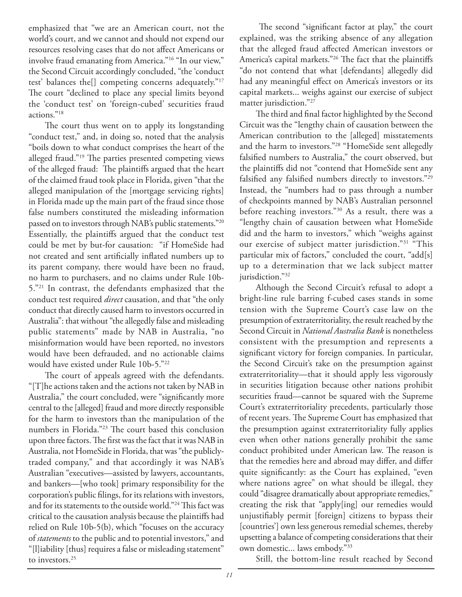emphasized that "we are an American court, not the world's court, and we cannot and should not expend our resources resolving cases that do not affect Americans or involve fraud emanating from America."16 "In our view," the Second Circuit accordingly concluded, "the 'conduct test' balances the[] competing concerns adequately."17 The court "declined to place any special limits beyond the 'conduct test' on 'foreign-cubed' securities fraud actions."18

The court thus went on to apply its longstanding "conduct test," and, in doing so, noted that the analysis "boils down to what conduct comprises the heart of the alleged fraud."<sup>19</sup> The parties presented competing views of the alleged fraud: The plaintiffs argued that the heart of the claimed fraud took place in Florida, given "that the alleged manipulation of the [mortgage servicing rights] in Florida made up the main part of the fraud since those false numbers constituted the misleading information passed on to investors through NAB's public statements."20 Essentially, the plaintiffs argued that the conduct test could be met by but-for causation: "if HomeSide had not created and sent artificially inflated numbers up to its parent company, there would have been no fraud, no harm to purchasers, and no claims under Rule 10b-5."21 In contrast, the defendants emphasized that the conduct test required *direct* causation, and that "the only conduct that directly caused harm to investors occurred in Australia": that without "the allegedly false and misleading public statements" made by NAB in Australia, "no misinformation would have been reported, no investors would have been defrauded, and no actionable claims would have existed under Rule 10b-5."22

*Concluded on page 9* The court of appeals agreed with the defendants. "[T]he actions taken and the actions not taken by NAB in Australia," the court concluded, were "significantly more central to the [alleged] fraud and more directly responsible for the harm to investors than the manipulation of the numbers in Florida."<sup>23</sup> The court based this conclusion upon three factors. The first was the fact that it was NAB in Australia, not HomeSide in Florida, that was "the publiclytraded company," and that accordingly it was NAB's Australian "executives—assisted by lawyers, accountants, and bankers—[who took] primary responsibility for the corporation's public filings, for its relations with investors, and for its statements to the outside world."<sup>24</sup> This fact was critical to the causation analysis because the plaintiffs had relied on Rule 10b-5(b), which "focuses on the accuracy of *statements* to the public and to potential investors," and "[l]iability [thus] requires a false or misleading statement" to investors.<sup>25</sup>

The second "significant factor at play," the court explained, was the striking absence of any allegation that the alleged fraud affected American investors or America's capital markets."<sup>26</sup> The fact that the plaintiffs "do not contend that what [defendants] allegedly did had any meaningful effect on America's investors or its capital markets... weighs against our exercise of subject matter jurisdiction."27

The third and final factor highlighted by the Second Circuit was the "lengthy chain of causation between the American contribution to the [alleged] misstatements and the harm to investors."28 "HomeSide sent allegedly falsified numbers to Australia," the court observed, but the plaintiffs did not "contend that HomeSide sent any falsified any falsified numbers directly to investors."<sup>29</sup> Instead, the "numbers had to pass through a number of checkpoints manned by NAB's Australian personnel before reaching investors."30 As a result, there was a "lengthy chain of causation between what HomeSide did and the harm to investors," which "weighs against our exercise of subject matter jurisdiction."31 "This particular mix of factors," concluded the court, "add[s] up to a determination that we lack subject matter jurisdiction."<sup>32</sup>

Although the Second Circuit's refusal to adopt a bright-line rule barring f-cubed cases stands in some tension with the Supreme Court's case law on the presumption of extraterritoriality, the result reached by the Second Circuit in *National Australia Bank* is nonetheless consistent with the presumption and represents a significant victory for foreign companies. In particular, the Second Circuit's take on the presumption against extraterritoriality—that it should apply less vigorously in securities litigation because other nations prohibit securities fraud—cannot be squared with the Supreme Court's extraterritoriality precedents, particularly those of recent years. The Supreme Court has emphasized that the presumption against extraterritoriality fully applies even when other nations generally prohibit the same conduct prohibited under American law. The reason is that the remedies here and abroad may differ, and differ quite significantly: as the Court has explained, "even where nations agree" on what should be illegal, they could "disagree dramatically about appropriate remedies," creating the risk that "apply[ing] our remedies would unjustifiably permit [foreign] citizens to bypass their [countries'] own less generous remedial schemes, thereby upsetting a balance of competing considerations that their own domestic... laws embody."33

Still, the bottom-line result reached by Second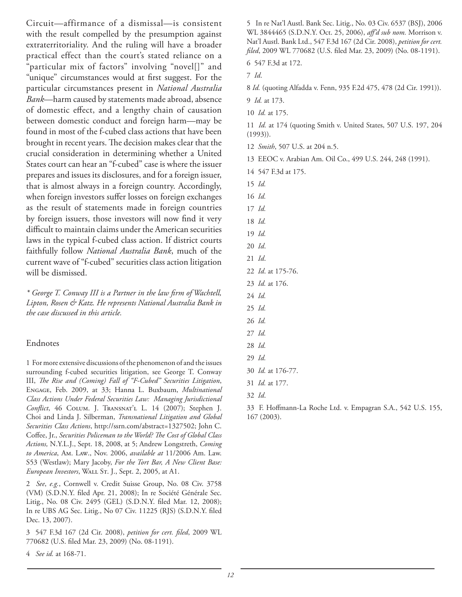Circuit—affirmance of a dismissal—is consistent with the result compelled by the presumption against extraterritoriality. And the ruling will have a broader practical effect than the court's stated reliance on a "particular mix of factors" involving "novel[]" and "unique" circumstances would at first suggest. For the particular circumstances present in *National Australia Bank*—harm caused by statements made abroad, absence of domestic effect, and a lengthy chain of causation between domestic conduct and foreign harm—may be found in most of the f-cubed class actions that have been brought in recent years. The decision makes clear that the crucial consideration in determining whether a United States court can hear an "f-cubed" case is where the issuer prepares and issues its disclosures, and for a foreign issuer, that is almost always in a foreign country. Accordingly, when foreign investors suffer losses on foreign exchanges as the result of statements made in foreign countries by foreign issuers, those investors will now find it very difficult to maintain claims under the American securities laws in the typical f-cubed class action. If district courts faithfully follow *National Australia Bank*, much of the current wave of "f-cubed" securities class action litigation will be dismissed.

\* George T. Conway III is a Partner in the law firm of Wachtell, *Lipton, Rosen & Katz. He represents National Australia Bank in the case discussed in this article.*

### Endnotes

1 For more extensive discussions of the phenomenon of and the issues surrounding f-cubed securities litigation, see George T. Conway III, *The Rise and (Coming) Fall of "F-Cubed" Securities Litigation*, Engage, Feb. 2009, at 33; Hanna L. Buxbaum, *Multinational Class Actions Under Federal Securities Law: Managing Jurisdictional*  Conflict, 46 COLUM. J. TRANSNAT'L L. 14 (2007); Stephen J. Choi and Linda J. Silberman, *Transnational Litigation and Global Securities Class Actions*, http://ssrn.com/abstract=1327502; John C. Coffee, Jr., *Securities Policeman to the World? The Cost of Global Class Actions,* N.Y.L.J., Sept. 18, 2008, at 5; Andrew Longstreth, *Coming to America*, Am. Law., Nov. 2006, *available at* 11/2006 Am. Law. S53 (Westlaw); Mary Jacoby, *For the Tort Bar, A New Client Base: European Investors*, Wall St. J., Sept. 2, 2005, at A1.

2 *See*, *e.g.*, Cornwell v. Credit Suisse Group, No. 08 Civ. 3758 (VM) (S.D.N.Y. filed Apr. 21, 2008); In re Société Générale Sec. Litig., No. 08 Civ. 2495 (GEL) (S.D.N.Y. filed Mar. 12, 2008); In re UBS AG Sec. Litig., No 07 Civ. 11225 (RJS) (S.D.N.Y. filed Dec. 13, 2007).

3 547 F.3d 167 (2d Cir. 2008), *petition for cert. fi led*, 2009 WL 770682 (U.S. filed Mar. 23, 2009) (No. 08-1191).

4 *See id.* at 168-71.

5 In re Nat'l Austl. Bank Sec. Litig., No. 03 Civ. 6537 (BSJ), 2006 WL 3844465 (S.D.N.Y. Oct. 25, 2006), affd sub nom. Morrison v. Nat'l Austl. Bank Ltd., 547 F.3d 167 (2d Cir. 2008), *petition for cert. filed*, 2009 WL 770682 (U.S. filed Mar. 23, 2009) (No. 08-1191).

6 547 F.3d at 172.

7 *Id*.

8 *Id.* (quoting Alfadda v. Fenn, 935 F.2d 475, 478 (2d Cir. 1991)).

9 *Id.* at 173.

10 *Id.* at 175.

11 *Id.* at 174 (quoting Smith v. United States, 507 U.S. 197, 204 (1993)).

12 *Smith*, 507 U.S. at 204 n.5.

13 EEOC v. Arabian Am. Oil Co., 499 U.S. 244, 248 (1991).

14 547 F.3d at 175.

15 *Id.*

16 *Id.* 

17 *Id.*

18 *Id.* 19 *Id.*

20 *Id*.

21 *Id*.

22 *Id*. at 175-76.

23 *Id.* at 176.

24 *Id.*

25 *Id.*

26 *Id.*

27 *Id.*

28 *Id.*

29 *Id.*

30 *Id.* at 176-77.

31 *Id.* at 177.

32 *Id*.

33 F. Hoffmann-La Roche Ltd. v. Empagran S.A., 542 U.S. 155, 167 (2003).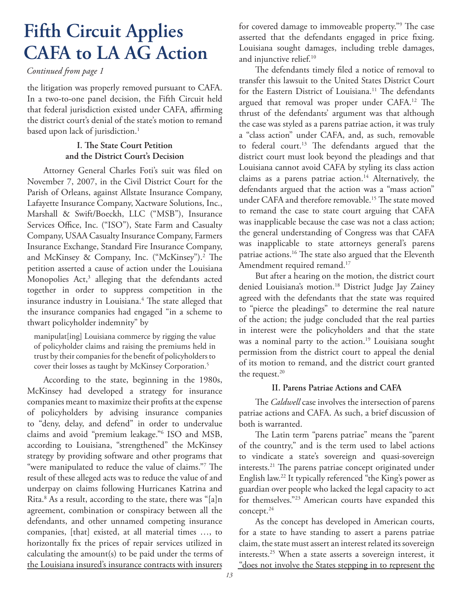# **Fifth Circuit Applies CAFA to LA AG Action**

### *Continued from page 1*

the litigation was properly removed pursuant to CAFA. In a two-to-one panel decision, the Fifth Circuit held that federal jurisdiction existed under CAFA, affirming the district court's denial of the state's motion to remand based upon lack of jurisdiction.<sup>1</sup>

### **I. The State Court Petition and the District Court's Decision**

Attorney General Charles Foti's suit was filed on November 7, 2007, in the Civil District Court for the Parish of Orleans, against Allstate Insurance Company, Lafayette Insurance Company, Xactware Solutions, Inc., Marshall & Swift/Boeckh, LLC ("MSB"), Insurance Services Office, Inc. ("ISO"), State Farm and Casualty Company, USAA Casualty Insurance Company, Farmers Insurance Exchange, Standard Fire Insurance Company, and McKinsey & Company, Inc. ("McKinsey").<sup>2</sup> The petition asserted a cause of action under the Louisiana Monopolies  $Act$ , $3$  alleging that the defendants acted together in order to suppress competition in the insurance industry in Louisiana.<sup>4</sup> The state alleged that the insurance companies had engaged "in a scheme to thwart policyholder indemnity" by

manipulat[ing] Louisiana commerce by rigging the value of policyholder claims and raising the premiums held in trust by their companies for the benefit of policyholders to cover their losses as taught by McKinsey Corporation.5

According to the state, beginning in the 1980s, McKinsey had developed a strategy for insurance companies meant to maximize their profits at the expense of policyholders by advising insurance companies to "deny, delay, and defend" in order to undervalue claims and avoid "premium leakage."6 ISO and MSB, according to Louisiana, "strengthened" the McKinsey strategy by providing software and other programs that "were manipulated to reduce the value of claims."7 The result of these alleged acts was to reduce the value of and underpay on claims following Hurricanes Katrina and Rita.8 As a result, according to the state, there was "[a]n agreement, combination or conspiracy between all the defendants, and other unnamed competing insurance companies, [that] existed, at all material times …, to horizontally fix the prices of repair services utilized in calculating the amount(s) to be paid under the terms of the Louisiana insured's insurance contracts with insurers

for covered damage to immoveable property."<sup>9</sup> The case asserted that the defendants engaged in price fixing. Louisiana sought damages, including treble damages, and injunctive relief.<sup>10</sup>

The defendants timely filed a notice of removal to transfer this lawsuit to the United States District Court for the Eastern District of Louisiana.<sup>11</sup> The defendants argued that removal was proper under CAFA.<sup>12</sup> The thrust of the defendants' argument was that although the case was styled as a parens patriae action, it was truly a "class action" under CAFA, and, as such, removable to federal court.<sup>13</sup> The defendants argued that the district court must look beyond the pleadings and that Louisiana cannot avoid CAFA by styling its class action claims as a parens patriae action.<sup>14</sup> Alternatively, the defendants argued that the action was a "mass action" under CAFA and therefore removable.<sup>15</sup> The state moved to remand the case to state court arguing that CAFA was inapplicable because the case was not a class action; the general understanding of Congress was that CAFA was inapplicable to state attorneys general's parens patriae actions.<sup>16</sup> The state also argued that the Eleventh Amendment required remand.<sup>17</sup>

But after a hearing on the motion, the district court denied Louisiana's motion.<sup>18</sup> District Judge Jay Zainey agreed with the defendants that the state was required to "pierce the pleadings" to determine the real nature of the action; the judge concluded that the real parties in interest were the policyholders and that the state was a nominal party to the action.<sup>19</sup> Louisiana sought permission from the district court to appeal the denial of its motion to remand, and the district court granted the request.<sup>20</sup>

### **II. Parens Patriae Actions and CAFA**

The *Caldwell* case involves the intersection of parens patriae actions and CAFA. As such, a brief discussion of both is warranted.

The Latin term "parens patriae" means the "parent of the country," and is the term used to label actions to vindicate a state's sovereign and quasi-sovereign interests.<sup>21</sup> The parens patriae concept originated under English law.22 It typically referenced "the King's power as guardian over people who lacked the legal capacity to act for themselves."23 American courts have expanded this concept.24

As the concept has developed in American courts, for a state to have standing to assert a parens patriae claim, the state must assert an interest related its sovereign interests.25 When a state asserts a sovereign interest, it "does not involve the States stepping in to represent the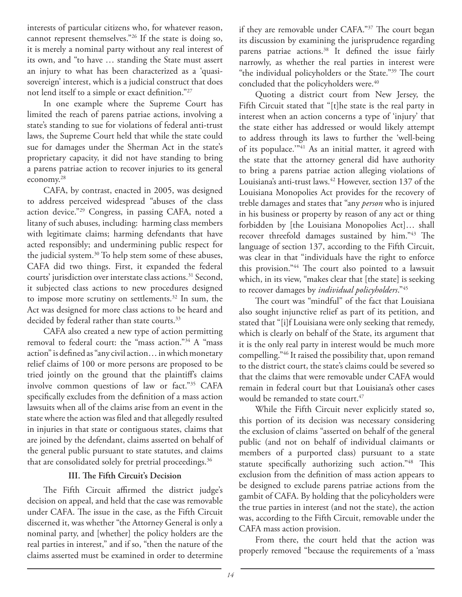interests of particular citizens who, for whatever reason, cannot represent themselves."26 If the state is doing so, it is merely a nominal party without any real interest of its own, and "to have … standing the State must assert an injury to what has been characterized as a 'quasisovereign' interest, which is a judicial construct that does not lend itself to a simple or exact definition."<sup>27</sup>

In one example where the Supreme Court has limited the reach of parens patriae actions, involving a state's standing to sue for violations of federal anti-trust laws, the Supreme Court held that while the state could sue for damages under the Sherman Act in the state's proprietary capacity, it did not have standing to bring a parens patriae action to recover injuries to its general economy.28

CAFA, by contrast, enacted in 2005, was designed to address perceived widespread "abuses of the class action device."29 Congress, in passing CAFA, noted a litany of such abuses, including: harming class members with legitimate claims; harming defendants that have acted responsibly; and undermining public respect for the judicial system.30 To help stem some of these abuses, CAFA did two things. First, it expanded the federal courts' jurisdiction over interstate class actions.<sup>31</sup> Second, it subjected class actions to new procedures designed to impose more scrutiny on settlements.<sup>32</sup> In sum, the Act was designed for more class actions to be heard and decided by federal rather than state courts.<sup>33</sup>

CAFA also created a new type of action permitting removal to federal court: the "mass action."34 A "mass action" is defined as "any civil action... in which monetary relief claims of 100 or more persons are proposed to be tried jointly on the ground that the plaintiff's claims involve common questions of law or fact."35 CAFA specifically excludes from the definition of a mass action lawsuits when all of the claims arise from an event in the state where the action was filed and that allegedly resulted in injuries in that state or contiguous states, claims that are joined by the defendant, claims asserted on behalf of the general public pursuant to state statutes, and claims that are consolidated solely for pretrial proceedings.<sup>36</sup>

### **III. The Fifth Circuit's Decision**

The Fifth Circuit affirmed the district judge's decision on appeal, and held that the case was removable under CAFA. The issue in the case, as the Fifth Circuit discerned it, was whether "the Attorney General is only a nominal party, and [whether] the policy holders are the real parties in interest," and if so, "then the nature of the claims asserted must be examined in order to determine

if they are removable under CAFA."37 The court began its discussion by examining the jurisprudence regarding parens patriae actions.<sup>38</sup> It defined the issue fairly narrowly, as whether the real parties in interest were "the individual policyholders or the State."<sup>39</sup> The court concluded that the policyholders were.<sup>40</sup>

Quoting a district court from New Jersey, the Fifth Circuit stated that "[t]he state is the real party in interest when an action concerns a type of 'injury' that the state either has addressed or would likely attempt to address through its laws to further the 'well-being of its populace."<sup>41</sup> As an initial matter, it agreed with the state that the attorney general did have authority to bring a parens patriae action alleging violations of Louisiana's anti-trust laws.<sup>42</sup> However, section 137 of the Louisiana Monopolies Act provides for the recovery of treble damages and states that "any *person* who is injured in his business or property by reason of any act or thing forbidden by [the Louisiana Monopolies Act]… shall recover threefold damages sustained by him."43 The language of section 137, according to the Fifth Circuit, was clear in that "individuals have the right to enforce this provision."<sup>44</sup> The court also pointed to a lawsuit which, in its view, "makes clear that [the state] is seeking to recover damages by *individual policyholders*."45

The court was "mindful" of the fact that Louisiana also sought injunctive relief as part of its petition, and stated that "[i]f Louisiana were only seeking that remedy, which is clearly on behalf of the State, its argument that it is the only real party in interest would be much more compelling."46 It raised the possibility that, upon remand to the district court, the state's claims could be severed so that the claims that were removable under CAFA would remain in federal court but that Louisiana's other cases would be remanded to state court.<sup>47</sup>

While the Fifth Circuit never explicitly stated so, this portion of its decision was necessary considering the exclusion of claims "asserted on behalf of the general public (and not on behalf of individual claimants or members of a purported class) pursuant to a state statute specifically authorizing such action."<sup>48</sup> This exclusion from the definition of mass action appears to be designed to exclude parens patriae actions from the gambit of CAFA. By holding that the policyholders were the true parties in interest (and not the state), the action was, according to the Fifth Circuit, removable under the CAFA mass action provision.

From there, the court held that the action was properly removed "because the requirements of a 'mass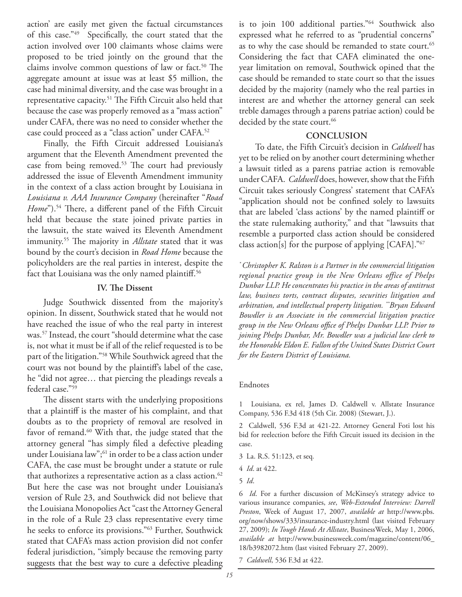action' are easily met given the factual circumstances of this case."49 Specifically, the court stated that the action involved over 100 claimants whose claims were proposed to be tried jointly on the ground that the claims involve common questions of law or fact.<sup>50</sup> The aggregate amount at issue was at least \$5 million, the case had minimal diversity, and the case was brought in a representative capacity.<sup>51</sup> The Fifth Circuit also held that because the case was properly removed as a "mass action" under CAFA, there was no need to consider whether the case could proceed as a "class action" under CAFA.52

Finally, the Fifth Circuit addressed Louisiana's argument that the Eleventh Amendment prevented the case from being removed.<sup>53</sup> The court had previously addressed the issue of Eleventh Amendment immunity in the context of a class action brought by Louisiana in *Louisiana v. AAA Insurance Company* (hereinafter "*Road Home*").<sup>54</sup> There, a different panel of the Fifth Circuit held that because the state joined private parties in the lawsuit, the state waived its Eleventh Amendment immunity.<sup>55</sup> The majority in *Allstate* stated that it was bound by the court's decision in *Road Home* because the policyholders are the real parties in interest, despite the fact that Louisiana was the only named plaintiff.<sup>56</sup>

### **IV.** The Dissent

Judge Southwick dissented from the majority's opinion. In dissent, Southwick stated that he would not have reached the issue of who the real party in interest was.57 Instead, the court "should determine what the case is, not what it must be if all of the relief requested is to be part of the litigation."58 While Southwick agreed that the court was not bound by the plaintiff's label of the case, he "did not agree… that piercing the pleadings reveals a federal case."59

The dissent starts with the underlying propositions that a plaintiff is the master of his complaint, and that doubts as to the propriety of removal are resolved in favor of remand.<sup>60</sup> With that, the judge stated that the attorney general "has simply filed a defective pleading under Louisiana law";<sup>61</sup> in order to be a class action under CAFA, the case must be brought under a statute or rule that authorizes a representative action as a class action.<sup>62</sup> But here the case was not brought under Louisiana's version of Rule 23, and Southwick did not believe that the Louisiana Monopolies Act "cast the Attorney General in the role of a Rule 23 class representative every time he seeks to enforce its provisions."63 Further, Southwick stated that CAFA's mass action provision did not confer federal jurisdiction, "simply because the removing party suggests that the best way to cure a defective pleading is to join 100 additional parties."64 Southwick also expressed what he referred to as "prudential concerns" as to why the case should be remanded to state court.<sup>65</sup> Considering the fact that CAFA eliminated the oneyear limitation on removal, Southwick opined that the case should be remanded to state court so that the issues decided by the majority (namely who the real parties in interest are and whether the attorney general can seek treble damages through a parens patriae action) could be decided by the state court.<sup>66</sup>

### **CONCLUSION**

To date, the Fifth Circuit's decision in *Caldwell* has yet to be relied on by another court determining whether a lawsuit titled as a parens patriae action is removable under CAFA. *Caldwell* does, however, show that the Fifth Circuit takes seriously Congress' statement that CAFA's "application should not be confined solely to lawsuits that are labeled 'class actions' by the named plaintiff or the state rulemaking authority," and that "lawsuits that resemble a purported class action should be considered class action[s] for the purpose of applying [CAFA]."67

*\* Christopher K. Ralston is a Partner in the commercial litigation regional practice group in the New Orleans office of Phelps Dunbar LLP. He concentrates his practice in the areas of antitrust law, business torts, contract disputes, securities litigation and arbitration, and intellectual property litigation. \*\*Bryan Edward Bowdler is an Associate in the commercial litigation practice*  group in the New Orleans office of Phelps Dunbar LLP. Prior to *joining Phelps Dunbar, Mr. Bowdler was a judicial law clerk to the Honorable Eldon E. Fallon of the United States District Court for the Eastern District of Louisiana.*

### Endnotes

1 Louisiana, ex rel, James D. Caldwell v. Allstate Insurance Company, 536 F.3d 418 (5th Cir. 2008) (Stewart, J.).

2 Caldwell, 536 F.3d at 421-22. Attorney General Foti lost his bid for reelection before the Fifth Circuit issued its decision in the case.

- 3 La. R.S. 51:123, et seq*.*
- 4 *Id*. at 422.
- 5 *Id*.

6 *Id*. For a further discussion of McKinsey's strategy advice to various insurance companies, *see*, *Web-Extended Interview: Darrell Preston*, Week of August 17, 2007, *available at* http://www.pbs. org/now/shows/333/insurance-industry.html (last visited February 27, 2009); *In Tough Hands At Allstate*, BusinessWeek, May 1, 2006, *available at* http://www.businessweek.com/magazine/content/06\_ 18/b3982072.htm (last visited February 27, 2009).

7 *Caldwell*, 536 F.3d at 422.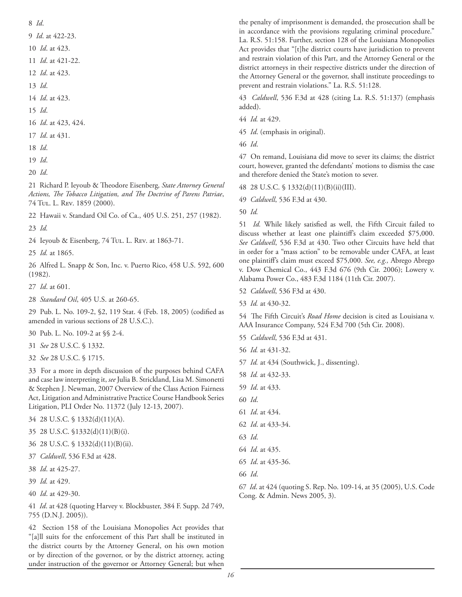8 *Id*.

9 *Id*. at 422-23.

- 10 *Id*. at 423.
- 11 *Id*. at 421-22.
- 12 *Id*. at 423.
- 13 *Id*.
- 14 *Id*. at 423.
- 15 *Id*.
- 16 *Id*. at 423, 424.
- 17 *Id*. at 431.
- 18 *Id*.
- 19 *Id*.
- 20 *Id*.

21 Richard P. Ieyoub & Theodore Eisenberg, State Attorney General Actions, The Tobacco Litigation, and The Doctrine of Parens Patriae, 74 Tul. L. Rev. 1859 (2000).

22 Hawaii v. Standard Oil Co. of Ca., 405 U.S. 251, 257 (1982).

23 *Id.*

24 Ieyoub & Eisenberg, 74 Tul. L. Rev. at 1863-71.

25 *Id.* at 1865.

26 Alfred L. Snapp & Son, Inc. v. Puerto Rico, 458 U.S. 592, 600 (1982).

- 27 *Id*. at 601.
- 28 *Standard Oil*, 405 U.S. at 260-65.

29 Pub. L. No. 109-2, §2, 119 Stat. 4 (Feb. 18, 2005) (codified as amended in various sections of 28 U.S.C.).

- 30 Pub. L. No. 109-2 at §§ 2-4.
- 31 *See* 28 U.S.C. § 1332.
- 32 *See* 28 U.S.C. § 1715.

33 For a more in depth discussion of the purposes behind CAFA and case law interpreting it, *see* Julia B. Strickland, Lisa M. Simonetti & Stephen J. Newman, 2007 Overview of the Class Action Fairness Act, Litigation and Administrative Practice Course Handbook Series Litigation, PLI Order No. 11372 (July 12-13, 2007).

- 34 28 U.S.C. § 1332(d)(11)(A).
- 35 28 U.S.C. §1332(d)(11)(B)(i).
- 36 28 U.S.C. § 1332(d)(11)(B)(ii).
- 37 *Caldwell*, 536 F.3d at 428.
- 38 *Id*. at 425-27.
- 39 *Id.* at 429.
- 40 *Id*. at 429-30.

41 *Id*. at 428 (quoting Harvey v. Blockbuster, 384 F. Supp. 2d 749, 755 (D.N.J. 2005)).

42 Section 158 of the Louisiana Monopolies Act provides that "[a]ll suits for the enforcement of this Part shall be instituted in the district courts by the Attorney General, on his own motion or by direction of the governor, or by the district attorney, acting under instruction of the governor or Attorney General; but when the penalty of imprisonment is demanded, the prosecution shall be in accordance with the provisions regulating criminal procedure." La. R.S. 51:158. Further, section 128 of the Louisiana Monopolies Act provides that "[t]he district courts have jurisdiction to prevent and restrain violation of this Part, and the Attorney General or the district attorneys in their respective districts under the direction of the Attorney General or the governor, shall institute proceedings to prevent and restrain violations." La. R.S. 51:128.

43 *Caldwell*, 536 F.3d at 428 (citing La. R.S. 51:137) (emphasis added).

- 44 *Id.* at 429.
- 45 *Id*. (emphasis in original).
- 46 *Id*.

47 On remand, Louisiana did move to sever its claims; the district court, however, granted the defendants' motions to dismiss the case and therefore denied the State's motion to sever.

48 28 U.S.C. § 1332(d)(11)(B)(ii)(III).

- 49 *Caldwell*, 536 F.3d at 430.
- 50 *Id.*

51 *Id.* While likely satisfied as well, the Fifth Circuit failed to discuss whether at least one plaintiff's claim exceeded \$75,000. *See Caldwell*, 536 F.3d at 430. Two other Circuits have held that in order for a "mass action" to be removable under CAFA, at least one plaintiff's claim must exceed \$75,000. See, e.g., Abrego Abrego v. Dow Chemical Co., 443 F.3d 676 (9th Cir. 2006); Lowery v. Alabama Power Co., 483 F.3d 1184 (11th Cir. 2007).

- 52 *Caldwell*, 536 F3d at 430.
- 53 *Id.* at 430-32.

54 The Fifth Circuit's *Road Home* decision is cited as Louisiana v. AAA Insurance Company, 524 F.3d 700 (5th Cir. 2008).

- 55 *Caldwell*, 536 F.3d at 431.
- 56 *Id.* at 431-32.
- 57 *Id.* at 434 (Southwick, J., dissenting).
- 58 *Id.* at 432-33.
- 59 *Id*. at 433.
- 60 *Id*.
- 61 *Id*. at 434.
- 62 *Id*. at 433-34.
- 63 *Id*.
- 64 *Id*. at 435.
- 65 *Id*. at 435-36.
- 66 *Id*.

67 *Id*. at 424 (quoting S. Rep. No. 109-14, at 35 (2005), U.S. Code Cong. & Admin. News 2005, 3).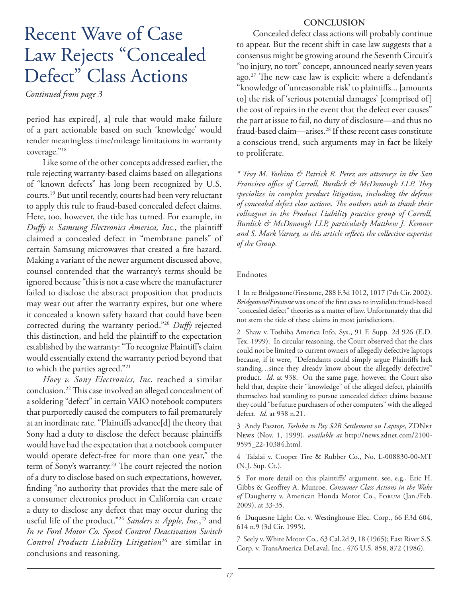# Recent Wave of Case Law Rejects "Concealed Defect" Class Actions

*Continued from page 3*

period has expired[, a] rule that would make failure of a part actionable based on such 'knowledge' would render meaningless time/mileage limitations in warranty coverage."18

Like some of the other concepts addressed earlier, the rule rejecting warranty-based claims based on allegations of "known defects" has long been recognized by U.S. courts.19 But until recently, courts had been very reluctant to apply this rule to fraud-based concealed defect claims. Here, too, however, the tide has turned. For example, in *Duffy v. Samsung Electronics America, Inc.*, the plaintiff claimed a concealed defect in "membrane panels" of certain Samsung microwaves that created a fire hazard. Making a variant of the newer argument discussed above, counsel contended that the warranty's terms should be ignored because "this is not a case where the manufacturer failed to disclose the abstract proposition that products may wear out after the warranty expires, but one where it concealed a known safety hazard that could have been corrected during the warranty period."<sup>20</sup> *Duffy* rejected this distinction, and held the plaintiff to the expectation established by the warranty: "To recognize Plaintiff's claim would essentially extend the warranty period beyond that to which the parties agreed."21

*Hoey v. Sony Electronics, Inc.* reached a similar conclusion.<sup>22</sup> This case involved an alleged concealment of a soldering "defect" in certain VAIO notebook computers that purportedly caused the computers to fail prematurely at an inordinate rate. "Plaintiffs advance[d] the theory that Sony had a duty to disclose the defect because plaintiffs would have had the expectation that a notebook computer would operate defect-free for more than one year," the term of Sony's warranty.<sup>23</sup> The court rejected the notion of a duty to disclose based on such expectations, however, finding "no authority that provides that the mere sale of a consumer electronics product in California can create a duty to disclose any defect that may occur during the useful life of the product."24 *Sanders v. Apple, Inc.*, 25 and *In re Ford Motor Co. Speed Control Deactivation Switch Control Products Liability Litigation*26 are similar in conclusions and reasoning.

### **CONCLUSION**

Concealed defect class actions will probably continue to appear. But the recent shift in case law suggests that a consensus might be growing around the Seventh Circuit's "no injury, no tort" concept, announced nearly seven years ago.<sup>27</sup> The new case law is explicit: where a defendant's "knowledge of 'unreasonable risk' to plaintiffs... [amounts to] the risk of 'serious potential damages' [comprised of] the cost of repairs in the event that the defect ever causes" the part at issue to fail, no duty of disclosure—and thus no fraud-based claim—arises.28 If these recent cases constitute a conscious trend, such arguments may in fact be likely to proliferate.

*\* Troy M. Yoshino & Patrick R. Perez are attorneys in the San*  Francisco office of Carroll, Burdick & McDonough LLP. They *specialize in complex product litigation, including the defense*  of concealed defect class actions. The authors wish to thank their *colleagues in the Product Liability practice group of Carroll, Burdick & McDonough LLP, particularly Matthew J. Kemner*  and S. Mark Varney, as this article reflects the collective expertise *of the Group.*

### Endnotes

1 In re Bridgestone/Firestone, 288 F.3d 1012, 1017 (7th Cir. 2002). Bridgestone/Firestone was one of the first cases to invalidate fraud-based "concealed defect" theories as a matter of law. Unfortunately that did not stem the tide of these claims in most jurisdictions.

2 Shaw v. Toshiba America Info. Sys., 91 F. Supp. 2d 926 (E.D. Tex. 1999). In circular reasoning, the Court observed that the class could not be limited to current owners of allegedly defective laptops because, if it were, "Defendants could simply argue Plaintiffs lack standing...since they already know about the allegedly defective" product. *Id.* at 938. On the same page, however, the Court also held that, despite their "knowledge" of the alleged defect, plaintiffs themselves had standing to pursue concealed defect claims because they could "be future purchasers of other computers" with the alleged defect. *Id.* at 938 n.21.

3 Andy Pasztor, *Toshiba to Pay \$2B Settlement on Laptops*, ZDNet News (Nov. 1, 1999), *available at* http://news.zdnet.com/2100- 9595\_22-10384.html.

4 Talalai v. Cooper Tire & Rubber Co., No. L-008830-00-MT (N.J. Sup. Ct.).

5 For more detail on this plaintiffs' argument, see, e.g., Eric H. Gibbs & Geoffrey A. Munroe, *Consumer Class Actions in the Wake of* Daugherty v. American Honda Motor Co., Forum (Jan./Feb. 2009), at 33-35.

6 Duquesne Light Co. v. Westinghouse Elec. Corp., 66 F.3d 604, 614 n.9 (3d Cir. 1995).

7 Seely v. White Motor Co., 63 Cal.2d 9, 18 (1965); East River S.S. Corp. v. TransAmerica DeLaval, Inc., 476 U.S. 858, 872 (1986).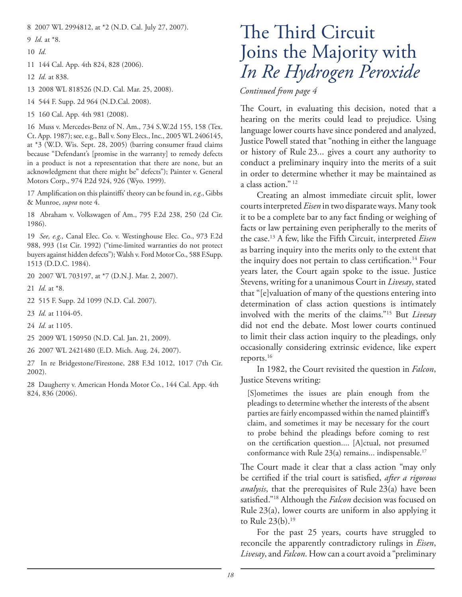8 2007 WL 2994812, at \*2 (N.D. Cal. July 27, 2007).

9 *Id.* at \*8.

10 *Id.*

11 144 Cal. App. 4th 824, 828 (2006).

12 *Id.* at 838.

13 2008 WL 818526 (N.D. Cal. Mar. 25, 2008).

14 544 F. Supp. 2d 964 (N.D.Cal. 2008).

15 160 Cal. App. 4th 981 (2008).

16 Muss v. Mercedes-Benz of N. Am., 734 S.W.2d 155, 158 (Tex. Ct. App. 1987); see, e.g., Ball v. Sony Elecs., Inc., 2005 WL 2406145, at \*3 (W.D. Wis. Sept. 28, 2005) (barring consumer fraud claims because "Defendant's [promise in the warranty] to remedy defects in a product is not a representation that there are none, but an acknowledgment that there might be" defects"); Painter v. General Motors Corp., 974 P.2d 924, 926 (Wyo. 1999).

17 Amplification on this plaintiffs' theory can be found in, e.g., Gibbs & Munroe, *supra* note 4.

18 Abraham v. Volkswagen of Am., 795 F.2d 238, 250 (2d Cir. 1986).

19 *See, e.g.,* Canal Elec. Co. v. Westinghouse Elec. Co., 973 F.2d 988, 993 (1st Cir. 1992) ("time-limited warranties do not protect buyers against hidden defects"); Walsh v. Ford Motor Co., 588 F.Supp. 1513 (D.D.C. 1984).

20 2007 WL 703197, at \*7 (D.N.J. Mar. 2, 2007).

21 *Id.* at \*8.

22 515 F. Supp. 2d 1099 (N.D. Cal. 2007).

23 *Id.* at 1104-05.

- 24 *Id.* at 1105.
- 25 2009 WL 150950 (N.D. Cal. Jan. 21, 2009).

26 2007 WL 2421480 (E.D. Mich. Aug. 24, 2007).

27 In re Bridgestone/Firestone, 288 F.3d 1012, 1017 (7th Cir. 2002).

28 Daugherty v. American Honda Motor Co*.*, 144 Cal. App. 4th 824, 836 (2006).

# The Third Circuit Joins the Majority with *In Re Hydrogen Peroxide*

*Continued from page 4*

The Court, in evaluating this decision, noted that a hearing on the merits could lead to prejudice. Using language lower courts have since pondered and analyzed, Justice Powell stated that "nothing in either the language or history of Rule 23... gives a court any authority to conduct a preliminary inquiry into the merits of a suit in order to determine whether it may be maintained as a class action." 12

Creating an almost immediate circuit split, lower courts interpreted *Eisen* in two disparate ways. Many took it to be a complete bar to any fact finding or weighing of facts or law pertaining even peripherally to the merits of the case.13 A few, like the Fifth Circuit, interpreted *Eisen*  as barring inquiry into the merits only to the extent that the inquiry does not pertain to class certification.<sup>14</sup> Four years later, the Court again spoke to the issue. Justice Stevens, writing for a unanimous Court in *Livesay*, stated that "[e]valuation of many of the questions entering into determination of class action questions is intimately involved with the merits of the claims."15 But *Livesay* did not end the debate. Most lower courts continued to limit their class action inquiry to the pleadings, only occasionally considering extrinsic evidence, like expert reports.16

In 1982, the Court revisited the question in *Falcon*, Justice Stevens writing:

[S]ometimes the issues are plain enough from the pleadings to determine whether the interests of the absent parties are fairly encompassed within the named plaintiff's claim, and sometimes it may be necessary for the court to probe behind the pleadings before coming to rest on the certification question.... [A]ctual, not presumed conformance with Rule  $23(a)$  remains... indispensable.<sup>17</sup>

The Court made it clear that a class action "may only be certified if the trial court is satisfied, *after a rigorous analysis*, that the prerequisites of Rule 23(a) have been satisfied."<sup>18</sup> Although the *Falcon* decision was focused on Rule 23(a), lower courts are uniform in also applying it to Rule 23(b).19

For the past 25 years, courts have struggled to reconcile the apparently contradictory rulings in *Eisen*, *Livesay*, and *Falcon*. How can a court avoid a "preliminary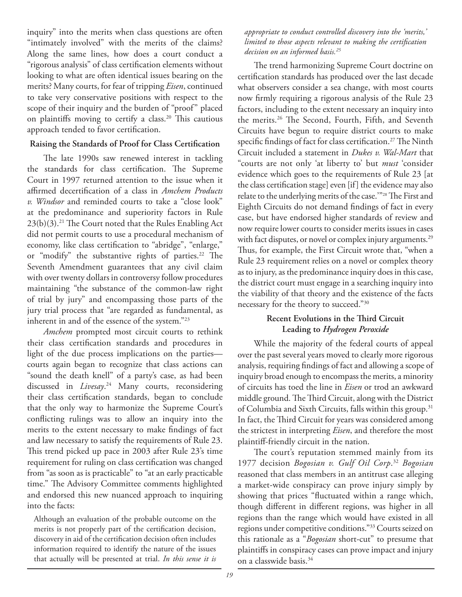inquiry" into the merits when class questions are often "intimately involved" with the merits of the claims? Along the same lines, how does a court conduct a "rigorous analysis" of class certification elements without looking to what are often identical issues bearing on the merits? Many courts, for fear of tripping *Eisen*, continued to take very conservative positions with respect to the scope of their inquiry and the burden of "proof" placed on plaintiffs moving to certify a class.<sup>20</sup> This cautious approach tended to favor certification.

### **Raising the Standards of Proof for Class Certification**

The late 1990s saw renewed interest in tackling the standards for class certification. The Supreme Court in 1997 returned attention to the issue when it affirmed decertification of a class in *Amchem Products v. Windsor* and reminded courts to take a "close look" at the predominance and superiority factors in Rule  $23(b)(3).$ <sup>21</sup> The Court noted that the Rules Enabling Act did not permit courts to use a procedural mechanism of economy, like class certification to "abridge", "enlarge," or "modify" the substantive rights of parties.<sup>22</sup> The Seventh Amendment guarantees that any civil claim with over twenty dollars in controversy follow procedures maintaining "the substance of the common-law right of trial by jury" and encompassing those parts of the jury trial process that "are regarded as fundamental, as inherent in and of the essence of the system."23

*Amchem* prompted most circuit courts to rethink their class certification standards and procedures in light of the due process implications on the parties courts again began to recognize that class actions can "sound the death knell" of a party's case, as had been discussed in *Livesay*. 24 Many courts, reconsidering their class certification standards, began to conclude that the only way to harmonize the Supreme Court's conflicting rulings was to allow an inquiry into the merits to the extent necessary to make findings of fact and law necessary to satisfy the requirements of Rule 23. This trend picked up pace in 2003 after Rule 23's time requirement for ruling on class certification was changed from "as soon as is practicable" to "at an early practicable time." The Advisory Committee comments highlighted and endorsed this new nuanced approach to inquiring into the facts:

Although an evaluation of the probable outcome on the merits is not properly part of the certification decision, discovery in aid of the certification decision often includes information required to identify the nature of the issues that actually will be presented at trial. *In this sense it is* 

*appropriate to conduct controlled discovery into the 'merits,' limited to those aspects relevant to making the certification decision on an informed basis.25*

The trend harmonizing Supreme Court doctrine on certification standards has produced over the last decade what observers consider a sea change, with most courts now firmly requiring a rigorous analysis of the Rule 23 factors, including to the extent necessary an inquiry into the merits.<sup>26</sup> The Second, Fourth, Fifth, and Seventh Circuits have begun to require district courts to make specific findings of fact for class certification.<sup>27</sup> The Ninth Circuit included a statement in *Dukes v. Wal-Mart* that "courts are not only 'at liberty to' but *must* 'consider evidence which goes to the requirements of Rule 23 [at the class certification stage] even [if] the evidence may also relate to the underlying merits of the case."<sup>28</sup> The First and Eighth Circuits do not demand findings of fact in every case, but have endorsed higher standards of review and now require lower courts to consider merits issues in cases with fact disputes, or novel or complex injury arguments.<sup>29</sup> Thus, for example, the First Circuit wrote that, "when a Rule 23 requirement relies on a novel or complex theory as to injury, as the predominance inquiry does in this case, the district court must engage in a searching inquiry into the viability of that theory and the existence of the facts necessary for the theory to succeed."30

### **Recent Evolutions in the Third Circuit Leading to** *Hydrogen Peroxide*

While the majority of the federal courts of appeal over the past several years moved to clearly more rigorous analysis, requiring findings of fact and allowing a scope of inquiry broad enough to encompass the merits, a minority of circuits has toed the line in *Eisen* or trod an awkward middle ground. The Third Circuit, along with the District of Columbia and Sixth Circuits, falls within this group.<sup>31</sup> In fact, the Third Circuit for years was considered among the strictest in interpreting *Eisen*, and therefore the most plaintiff -friendly circuit in the nation.

The court's reputation stemmed mainly from its 1977 decision *Bogosian v. Gulf Oil Corp*. <sup>32</sup> *Bogosian* reasoned that class members in an antitrust case alleging a market-wide conspiracy can prove injury simply by showing that prices "fluctuated within a range which, though different in different regions, was higher in all regions than the range which would have existed in all regions under competitive conditions."33 Courts seized on this rationale as a "*Bogosian* short-cut" to presume that plaintiffs in conspiracy cases can prove impact and injury on a classwide basis.34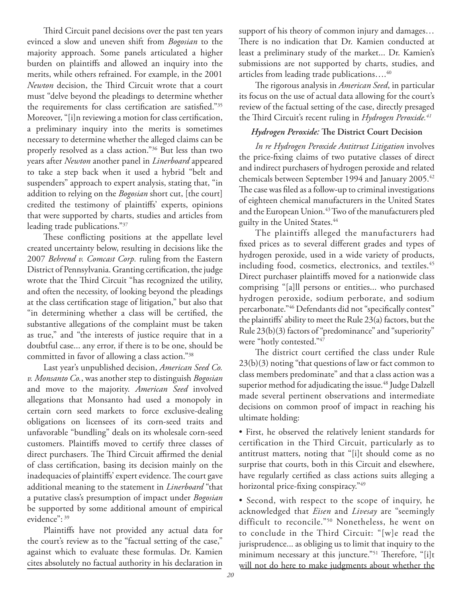Third Circuit panel decisions over the past ten years evinced a slow and uneven shift from *Bogosian* to the majority approach. Some panels articulated a higher burden on plaintiffs and allowed an inquiry into the merits, while others refrained. For example, in the 2001 *Newton* decision, the Third Circuit wrote that a court must "delve beyond the pleadings to determine whether the requirements for class certification are satisfied."35 Moreover, "[i]n reviewing a motion for class certification, a preliminary inquiry into the merits is sometimes necessary to determine whether the alleged claims can be properly resolved as a class action."36 But less than two years after *Newton* another panel in *Linerboard* appeared to take a step back when it used a hybrid "belt and suspenders" approach to expert analysis, stating that, "in addition to relying on the *Bogosian* short cut, [the court] credited the testimony of plaintiffs' experts, opinions that were supported by charts, studies and articles from leading trade publications."37

These conflicting positions at the appellate level created uncertainty below, resulting in decisions like the 2007 *Behrend v. Comcast Corp.* ruling from the Eastern District of Pennsylvania. Granting certification, the judge wrote that the Third Circuit "has recognized the utility, and often the necessity, of looking beyond the pleadings at the class certification stage of litigation," but also that "in determining whether a class will be certified, the substantive allegations of the complaint must be taken as true," and "the interests of justice require that in a doubtful case... any error, if there is to be one, should be committed in favor of allowing a class action."38

Last year's unpublished decision, *American Seed Co. v. Monsanto Co.*, was another step to distinguish *Bogosian* and move to the majority. *American Seed* involved allegations that Monsanto had used a monopoly in certain corn seed markets to force exclusive-dealing obligations on licensees of its corn-seed traits and unfavorable "bundling" deals on its wholesale corn-seed customers. Plaintiffs moved to certify three classes of direct purchasers. The Third Circuit affirmed the denial of class certification, basing its decision mainly on the inadequacies of plaintiffs' expert evidence. The court gave additional meaning to the statement in *Linerboard* "that a putative class's presumption of impact under *Bogosian* be supported by some additional amount of empirical evidence": 39

Plaintiffs have not provided any actual data for the court's review as to the "factual setting of the case," against which to evaluate these formulas. Dr. Kamien cites absolutely no factual authority in his declaration in

support of his theory of common injury and damages… There is no indication that Dr. Kamien conducted at least a preliminary study of the market... Dr. Kamien's submissions are not supported by charts, studies, and articles from leading trade publications….40

The rigorous analysis in *American Seed*, in particular its focus on the use of actual data allowing for the court's review of the factual setting of the case, directly presaged the Third Circuit's recent ruling in *Hydrogen Peroxide*.<sup>41</sup>

### *Hydrogen Peroxide:* The District Court Decision

*In re Hydrogen Peroxide Antitrust Litigation* involves the price-fixing claims of two putative classes of direct and indirect purchasers of hydrogen peroxide and related chemicals between September 1994 and January 2005.42 The case was filed as a follow-up to criminal investigations of eighteen chemical manufacturers in the United States and the European Union.<sup>43</sup> Two of the manufacturers pled guilty in the United States.<sup>44</sup>

The plaintiffs alleged the manufacturers had fixed prices as to several different grades and types of hydrogen peroxide, used in a wide variety of products, including food, cosmetics, electronics, and textiles.<sup>45</sup> Direct purchaser plaintiffs moved for a nationwide class comprising "[a]ll persons or entities... who purchased hydrogen peroxide, sodium perborate, and sodium percarbonate."46 Defendants did not "specifically contest" the plaintiffs' ability to meet the Rule  $23(a)$  factors, but the Rule 23(b)(3) factors of "predominance" and "superiority" were "hotly contested."47

The district court certified the class under Rule 23(b)(3) noting "that questions of law or fact common to class members predominate" and that a class action was a superior method for adjudicating the issue.<sup>48</sup> Judge Dalzell made several pertinent observations and intermediate decisions on common proof of impact in reaching his ultimate holding:

• First, he observed the relatively lenient standards for certification in the Third Circuit, particularly as to antitrust matters, noting that "[i]t should come as no surprise that courts, both in this Circuit and elsewhere, have regularly certified as class actions suits alleging a horizontal price-fixing conspiracy."49

• Second, with respect to the scope of inquiry, he acknowledged that *Eisen* and *Livesay* are "seemingly difficult to reconcile."50 Nonetheless, he went on to conclude in the Third Circuit: "[w]e read the jurisprudence... as obliging us to limit that inquiry to the minimum necessary at this juncture."<sup>51</sup> Therefore, "[i]t will not do here to make judgments about whether the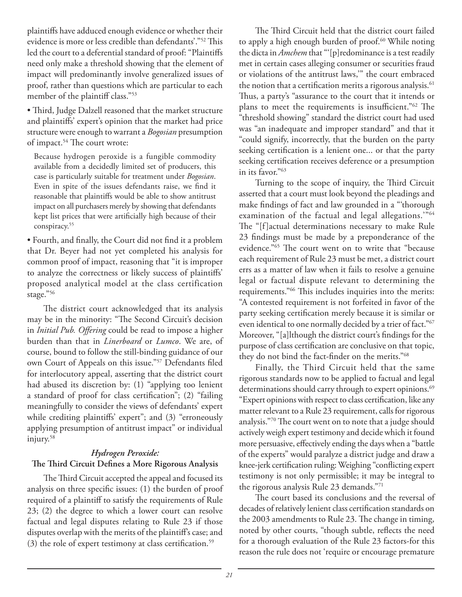plaintiffs have adduced enough evidence or whether their evidence is more or less credible than defendants'."<sup>52</sup> This led the court to a deferential standard of proof: "Plaintiffs need only make a threshold showing that the element of impact will predominantly involve generalized issues of proof, rather than questions which are particular to each member of the plaintiff class."53

• Third, Judge Dalzell reasoned that the market structure and plaintiffs' expert's opinion that the market had price structure were enough to warrant a *Bogosian* presumption of impact.<sup>54</sup> The court wrote:

Because hydrogen peroxide is a fungible commodity available from a decidedly limited set of producers, this case is particularly suitable for treatment under *Bogosian*. Even in spite of the issues defendants raise, we find it reasonable that plaintiffs would be able to show antitrust impact on all purchasers merely by showing that defendants kept list prices that were artificially high because of their conspiracy.<sup>55</sup>

• Fourth, and finally, the Court did not find it a problem that Dr. Beyer had not yet completed his analysis for common proof of impact, reasoning that "it is improper to analyze the correctness or likely success of plaintiffs' proposed analytical model at the class certification stage."56

The district court acknowledged that its analysis may be in the minority: "The Second Circuit's decision in *Initial Pub. Offering* could be read to impose a higher burden than that in *Linerboard* or *Lumco*. We are, of course, bound to follow the still-binding guidance of our own Court of Appeals on this issue."<sup>57</sup> Defendants filed for interlocutory appeal, asserting that the district court had abused its discretion by: (1) "applying too lenient a standard of proof for class certification"; (2) "failing meaningfully to consider the views of defendants' expert while crediting plaintiffs' expert"; and (3) "erroneously applying presumption of antitrust impact" or individual injury.58

### *Hydrogen Peroxide:*

### The Third Circuit Defines a More Rigorous Analysis

The Third Circuit accepted the appeal and focused its analysis on three specific issues:  $(1)$  the burden of proof required of a plaintiff to satisfy the requirements of Rule 23; (2) the degree to which a lower court can resolve factual and legal disputes relating to Rule 23 if those disputes overlap with the merits of the plaintiff's case; and (3) the role of expert testimony at class certification.<sup>59</sup>

The Third Circuit held that the district court failed to apply a high enough burden of proof.<sup>60</sup> While noting the dicta in *Amchem* that "'[p]redominance is a test readily met in certain cases alleging consumer or securities fraud or violations of the antitrust laws,'" the court embraced the notion that a certification merits a rigorous analysis.<sup>61</sup> Thus, a party's "assurance to the court that it intends or plans to meet the requirements is insufficient."<sup>62</sup> The "threshold showing" standard the district court had used was "an inadequate and improper standard" and that it "could signify, incorrectly, that the burden on the party seeking certification is a lenient one... or that the party seeking certification receives deference or a presumption in its favor."63

Turning to the scope of inquiry, the Third Circuit asserted that a court must look beyond the pleadings and make findings of fact and law grounded in a "thorough examination of the factual and legal allegations.'"64 The "[f]actual determinations necessary to make Rule 23 findings must be made by a preponderance of the evidence."<sup>65</sup> The court went on to write that "because each requirement of Rule 23 must be met, a district court errs as a matter of law when it fails to resolve a genuine legal or factual dispute relevant to determining the requirements."<sup>66</sup> This includes inquiries into the merits: "A contested requirement is not forfeited in favor of the party seeking certification merely because it is similar or even identical to one normally decided by a trier of fact."<sup>67</sup> Moreover, "[a]lthough the district court's findings for the purpose of class certification are conclusive on that topic, they do not bind the fact-finder on the merits."<sup>68</sup>

Finally, the Third Circuit held that the same rigorous standards now to be applied to factual and legal determinations should carry through to expert opinions.<sup>69</sup> "Expert opinions with respect to class certification, like any matter relevant to a Rule 23 requirement, calls for rigorous analysis."70 The court went on to note that a judge should actively weigh expert testimony and decide which it found more persuasive, effectively ending the days when a "battle of the experts" would paralyze a district judge and draw a knee-jerk certification ruling: Weighing "conflicting expert testimony is not only permissible; it may be integral to the rigorous analysis Rule 23 demands."71

The court based its conclusions and the reversal of decades of relatively lenient class certification standards on the 2003 amendments to Rule 23. The change in timing, noted by other courts, "though subtle, reflects the need for a thorough evaluation of the Rule 23 factors-for this reason the rule does not 'require or encourage premature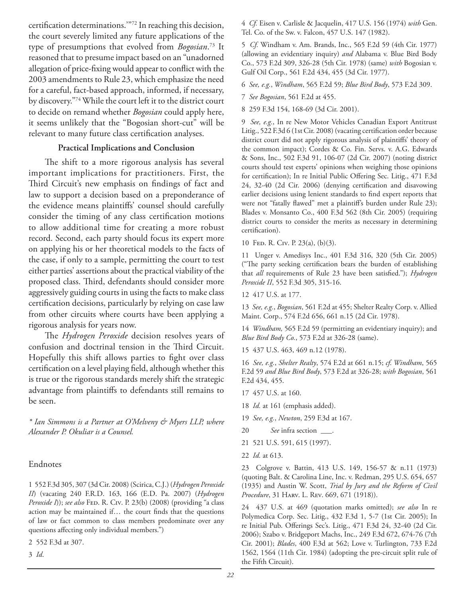certification determinations."<sup>72</sup> In reaching this decision, the court severely limited any future applications of the type of presumptions that evolved from *Bogosian*. 73 It reasoned that to presume impact based on an "unadorned allegation of price-fixing would appear to conflict with the 2003 amendments to Rule 23, which emphasize the need for a careful, fact-based approach, informed, if necessary, by discovery."74 While the court left it to the district court to decide on remand whether *Bogosian* could apply here, it seems unlikely that the "Bogosian short-cut" will be relevant to many future class certification analyses.

### **Practical Implications and Conclusion**

The shift to a more rigorous analysis has several important implications for practitioners. First, the Third Circuit's new emphasis on findings of fact and law to support a decision based on a preponderance of the evidence means plaintiffs' counsel should carefully consider the timing of any class certification motions to allow additional time for creating a more robust record. Second, each party should focus its expert more on applying his or her theoretical models to the facts of the case, if only to a sample, permitting the court to test either parties' assertions about the practical viability of the proposed class. Third, defendants should consider more aggressively guiding courts in using the facts to make class certification decisions, particularly by relying on case law from other circuits where courts have been applying a rigorous analysis for years now.

The *Hydrogen Peroxide* decision resolves years of confusion and doctrinal tension in the Third Circuit. Hopefully this shift allows parties to fight over class certification on a level playing field, although whether this is true or the rigorous standards merely shift the strategic advantage from plaintiffs to defendants still remains to be seen.

*\* Ian Simmons is a Partner at O'Melveny & Myers LLP, where Alexander P. Okuliar is a Counsel.*

### Endnotes

1 552 F.3d 305, 307 (3d Cir. 2008) (Scirica, C.J.) (*Hydrogen Peroxide II*) (vacating 240 F.R.D. 163, 166 (E.D. Pa. 2007) (*Hydrogen Peroxide I*)); *see also* FED. R. Civ. P. 23(b) (2008) (providing "a class action may be maintained if... the court finds that the questions of law or fact common to class members predominate over any questions affecting only individual members.")

2 552 F.3d at 307.

3 *Id*.

4 *Cf.* Eisen v. Carlisle & Jacquelin, 417 U.S. 156 (1974) *with* Gen. Tel. Co. of the Sw. v. Falcon, 457 U.S. 147 (1982).

5 *Cf.* Windham v. Am. Brands, Inc., 565 F.2d 59 (4th Cir. 1977) (allowing an evidentiary inquiry) *and* Alabama v. Blue Bird Body Co., 573 F.2d 309, 326-28 (5th Cir. 1978) (same) *with* Bogosian v. Gulf Oil Corp., 561 F.2d 434, 455 (3d Cir. 1977).

6 *See, e.g.*, *Windham*, 565 F.2d 59; *Blue Bird Body*, 573 F.2d 309.

7 *See Bogosian*, 561 F.2d at 455.

8 259 F.3d 154, 168-69 (3d Cir. 2001).

9 *See, e.g.*, In re New Motor Vehicles Canadian Export Antitrust Litig., 522 F.3d 6 (1st Cir. 2008) (vacating certification order because district court did not apply rigorous analysis of plaintiffs' theory of the common impact); Cordes & Co. Fin. Servs. v. A.G. Edwards & Sons, Inc., 502 F.3d 91, 106-07 (2d Cir. 2007) (noting district courts should test experts' opinions when weighing those opinions for certification); In re Initial Public Offering Sec. Litig., 471 F.3d 24, 32-40 (2d Cir. 2006) (denying certification and disavowing earlier decisions using lenient standards to find expert reports that were not "fatally flawed" met a plaintiff's burden under Rule 23); Blades v. Monsanto Co., 400 F.3d 562 (8th Cir. 2005) (requiring district courts to consider the merits as necessary in determining certification).

10 Fed. R. Civ. P. 23(a), (b)(3).

11 Unger v. Amedisys Inc., 401 F.3d 316, 320 (5th Cir. 2005) ("The party seeking certification bears the burden of establishing that *all* requirements of Rule 23 have been satisfied."); *Hydrogen Peroxide II*, 552 F.3d 305, 315-16.

12 417 U.S. at 177.

13 *See, e.g.*, *Bogosian*, 561 F.2d at 455; Shelter Realty Corp. v. Allied Maint. Corp., 574 F.2d 656, 661 n.15 (2d Cir. 1978).

14 *Windham,* 565 F.2d 59 (permitting an evidentiary inquiry); and *Blue Bird Body Co.*, 573 F.2d at 326-28 (same).

15 437 U.S. 463, 469 n.12 (1978).

16 *See, e.g.*, *Shelter Realty*, 574 F.2d at 661 n.15; *cf. Windham*, 565 F.2d 59 *and Blue Bird Body*, 573 F.2d at 326-28; *with Bogosian*, 561 F.2d 434, 455.

17 457 U.S. at 160.

18 *Id.* at 161 (emphasis added).

19 *See, e.g.*, *Newton*, 259 F.3d at 167.

20 *See* infra section \_\_\_.

- 21 521 U.S. 591, 615 (1997).
- 22 *Id.* at 613.

23 Colgrove v. Battin, 413 U.S. 149, 156-57 & n.11 (1973) (quoting Balt. & Carolina Line, Inc. v. Redman, 295 U.S. 654, 657 (1935) and Austin W. Scott, *Trial by Jury and the Reform of Civil Procedure*, 31 Harv. L. Rev. 669, 671 (1918)).

24 437 U.S. at 469 (quotation marks omitted); *see also* In re Polymedica Corp. Sec. Litig., 432 F.3d 1, 5-7 (1st Cir. 2005); In re Initial Pub. Offerings Sec's. Litig., 471 F.3d 24, 32-40 (2d Cir. 2006); Szabo v. Bridgeport Machs, Inc., 249 F.3d 672, 674-76 (7th Cir. 2001); *Blades*, 400 F.3d at 562; Love v. Turlington, 733 F.2d 1562, 1564 (11th Cir. 1984) (adopting the pre-circuit split rule of the Fifth Circuit).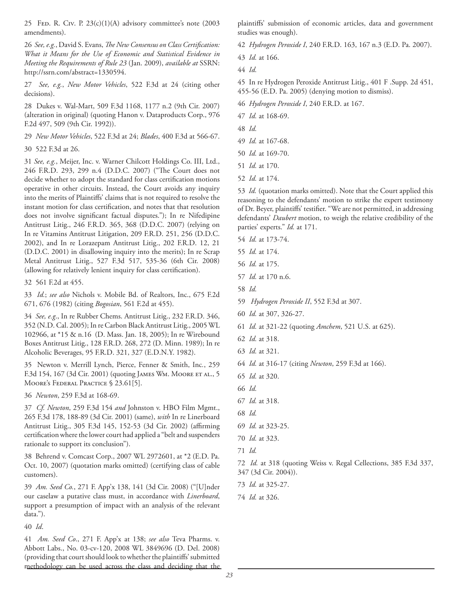25 FED. R. CIV. P.  $23(c)(1)(A)$  advisory committee's note (2003) amendments).

26 *See, e.g.*, David S. Evans, *The New Consensus on Class Certification: What it Means for the Use of Economic and Statistical Evidence in Meeting the Requirements of Rule 23* (Jan. 2009), *available at* SSRN: http://ssrn.com/abstract=1330594.

27 *See, e.g.*, *New Motor Vehicles*, 522 F.3d at 24 (citing other decisions).

28 Dukes v. Wal-Mart, 509 F.3d 1168, 1177 n.2 (9th Cir. 2007) (alteration in original) (quoting Hanon v. Dataproducts Corp., 976 F.2d 497, 509 (9th Cir. 1992)).

- 29 *New Motor Vehicles*, 522 F.3d at 24; *Blades*, 400 F.3d at 566-67.
- 30 522 F.3d at 26.

31 *See, e.g.*, Meijer, Inc. v. Warner Chilcott Holdings Co. III, Ltd., 246 F.R.D. 293, 299 n.4 (D.D.C. 2007) ("The Court does not decide whether to adopt the standard for class certification motions operative in other circuits. Instead, the Court avoids any inquiry into the merits of Plaintiffs' claims that is not required to resolve the instant motion for class certification, and notes that that resolution does not involve significant factual disputes."); In re Nifedipine Antitrust Litig., 246 F.R.D. 365, 368 (D.D.C. 2007) (relying on In re Vitamins Antitrust Litigation, 209 F.R.D. 251, 256 (D.D.C. 2002), and In re Lorazepam Antitrust Litig., 202 F.R.D. 12, 21 (D.D.C. 2001) in disallowing inquiry into the merits); In re Scrap Metal Antitrust Litig., 527 F.3d 517, 535-36 (6th Cir. 2008) (allowing for relatively lenient inquiry for class certification).

32 561 F.2d at 455.

33 *Id.*; *see also* Nichols v. Mobile Bd. of Realtors, Inc., 675 F.2d 671, 676 (1982) (citing *Bogosian*, 561 F.2d at 455).

34 *See, e.g*., In re Rubber Chems. Antitrust Litig., 232 F.R.D. 346, 352 (N.D. Cal. 2005); In re Carbon Black Antitrust Litig., 2005 WL 102966, at \*15 & n.16 (D. Mass. Jan. 18, 2005); In re Wirebound Boxes Antitrust Litig., 128 F.R.D. 268, 272 (D. Minn. 1989); In re Alcoholic Beverages, 95 F.R.D. 321, 327 (E.D.N.Y. 1982).

35 Newton v. Merrill Lynch, Pierce, Fenner & Smith, Inc*.*, 259 F.3d 154, 167 (3d Cir. 2001) (quoting JAMES WM. MOORE ET AL., 5 MOORE'S FEDERAL PRACTICE § 23.61[5].

36 *Newton*, 259 F.3d at 168-69.

37 *Cf. Newton*, 259 F.3d 154 *and* Johnston v. HBO Film Mgmt., 265 F.3d 178, 188-89 (3d Cir. 2001) (same), *with* In re Linerboard Antitrust Litig., 305 F.3d 145, 152-53 (3d Cir. 2002) (affirming certification where the lower court had applied a "belt and suspenders rationale to support its conclusion").

38 Behrend v. Comcast Corp., 2007 WL 2972601, at \*2 (E.D. Pa. Oct. 10, 2007) (quotation marks omitted) (certifying class of cable customers).

39 *Am. Seed Co.*, 271 F. App'x 138, 141 (3d Cir. 2008) ("[U]nder our caselaw a putative class must, in accordance with *Linerboard*, support a presumption of impact with an analysis of the relevant data.").

40 *Id*.

41 *Am. Seed Co*., 271 F. App'x at 138; *see also* Teva Pharms. v. Abbott Labs., No. 03-cv-120, 2008 WL 3849696 (D. Del. 2008) (providing that court should look to whether the plaintiffs' submitted methodology can be used across the class and deciding that the plaintiffs' submission of economic articles, data and government studies was enough).

42 *Hydrogen Peroxide I*, 240 F.R.D. 163, 167 n.3 (E.D. Pa. 2007).

44 *Id.*

45 In re Hydrogen Peroxide Antitrust Litig., 401 F .Supp. 2d 451, 455-56 (E.D. Pa. 2005) (denying motion to dismiss).

46 *Hydrogen Peroxide I*, 240 F.R.D. at 167.

- 47 *Id.* at 168-69.
- 48 *Id.*
- 49 *Id.* at 167-68.
- 50 *Id.* at 169-70.
- 51 *Id.* at 170.
- 52 *Id.* at 174.

53 *Id.* (quotation marks omitted). Note that the Court applied this reasoning to the defendants' motion to strike the expert testimony of Dr. Beyer, plaintiffs' testifier. "We are not permitted, in addressing defendants' *Daubert* motion, to weigh the relative credibility of the parties' experts." *Id.* at 171.

- 54 *Id.* at 173-74.
- 55 *Id.* at 174.
- 56 *Id.* at 175.
- 57 *Id.* at 170 n.6.
- 58 *Id.*
- 59 *Hydrogen Peroxide II*, 552 F.3d at 307.
- 60 *Id.* at 307, 326-27.
- 61 *Id.* at 321-22 (quoting *Amchem*, 521 U.S. at 625).
- 62 *Id.* at 318.
- 63 *Id.* at 321.
- 64 *Id.* at 316-17 (citing *Newton*, 259 F.3d at 166).
- 65 *Id.* at 320.
- 66 *Id.*
- 67 *Id.* at 318.
- 68 *Id.*
- 69 *Id.* at 323-25.
- 70 *Id.* at 323.
- 71 *Id.*

72 *Id.* at 318 (quoting Weiss v. Regal Cellections, 385 F.3d 337, 347 (3d Cir. 2004)).

- 73 *Id.* at 325-27.
- 74 *Id.* at 326.

<sup>43</sup> *Id.* at 166.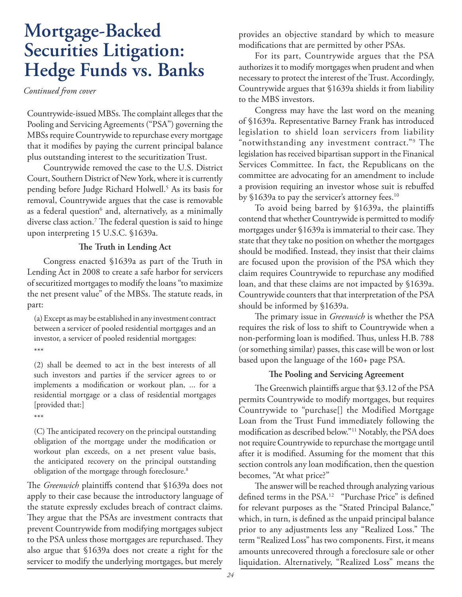# **Mortgage-Backed Securities Litigation: Hedge Funds vs. Banks**

*Continued from cover*

Countrywide-issued MBSs. The complaint alleges that the Pooling and Servicing Agreements ("PSA") governing the MBSs require Countrywide to repurchase every mortgage that it modifies by paying the current principal balance plus outstanding interest to the securitization Trust.

Countrywide removed the case to the U.S. District Court, Southern District of New York, where it is currently pending before Judge Richard Holwell.5 As its basis for removal, Countrywide argues that the case is removable as a federal question $^6$  and, alternatively, as a minimally diverse class action.<sup>7</sup> The federal question is said to hinge upon interpreting 15 U.S.C. §1639a.

### The Truth in Lending Act

Congress enacted §1639a as part of the Truth in Lending Act in 2008 to create a safe harbor for servicers of securitized mortgages to modify the loans "to maximize the net present value" of the MBSs. The statute reads, in part:

(a) Except as may be established in any investment contract between a servicer of pooled residential mortgages and an investor, a servicer of pooled residential mortgages: \*\*\*

(2) shall be deemed to act in the best interests of all such investors and parties if the servicer agrees to or implements a modification or workout plan, ... for a residential mortgage or a class of residential mortgages [provided that:]

\*\*\*

(C) The anticipated recovery on the principal outstanding obligation of the mortgage under the modification or workout plan exceeds, on a net present value basis, the anticipated recovery on the principal outstanding obligation of the mortgage through foreclosure.<sup>8</sup>

The *Greenwich* plaintiffs contend that §1639a does not apply to their case because the introductory language of the statute expressly excludes breach of contract claims. They argue that the PSAs are investment contracts that prevent Countrywide from modifying mortgages subject to the PSA unless those mortgages are repurchased. They also argue that §1639a does not create a right for the servicer to modify the underlying mortgages, but merely

provides an objective standard by which to measure modifications that are permitted by other PSAs.

For its part, Countrywide argues that the PSA authorizes it to modify mortgages when prudent and when necessary to protect the interest of the Trust. Accordingly, Countrywide argues that §1639a shields it from liability to the MBS investors.

Congress may have the last word on the meaning of §1639a. Representative Barney Frank has introduced legislation to shield loan servicers from liability "notwithstanding any investment contract."9 The legislation has received bipartisan support in the Finanical Services Committee. In fact, the Republicans on the committee are advocating for an amendment to include a provision requiring an investor whose suit is rebuffed by §1639a to pay the servicer's attorney fees.<sup>10</sup>

To avoid being barred by §1639a, the plaintiffs contend that whether Countrywide is permitted to modify mortgages under  $$1639a$  is immaterial to their case. They state that they take no position on whether the mortgages should be modified. Instead, they insist that their claims are focused upon the provision of the PSA which they claim requires Countrywide to repurchase any modified loan, and that these claims are not impacted by §1639a. Countrywide counters that that interpretation of the PSA should be informed by §1639a.

The primary issue in *Greenwich* is whether the PSA requires the risk of loss to shift to Countrywide when a non-performing loan is modified. Thus, unless H.B. 788 (or something similar) passes, this case will be won or lost based upon the language of the 160+ page PSA.

### **The Pooling and Servicing Agreement**

The Greenwich plaintiffs argue that \$3.12 of the PSA permits Countrywide to modify mortgages, but requires Countrywide to "purchase[] the Modified Mortgage Loan from the Trust Fund immediately following the modification as described below."<sup>11</sup> Notably, the PSA does not require Countrywide to repurchase the mortgage until after it is modified. Assuming for the moment that this section controls any loan modification, then the question becomes, "At what price?"

The answer will be reached through analyzing various defined terms in the PSA.<sup>12</sup> "Purchase Price" is defined for relevant purposes as the "Stated Principal Balance," which, in turn, is defined as the unpaid principal balance prior to any adjustments less any "Realized Loss." The term "Realized Loss" has two components. First, it means amounts unrecovered through a foreclosure sale or other liquidation. Alternatively, "Realized Loss" means the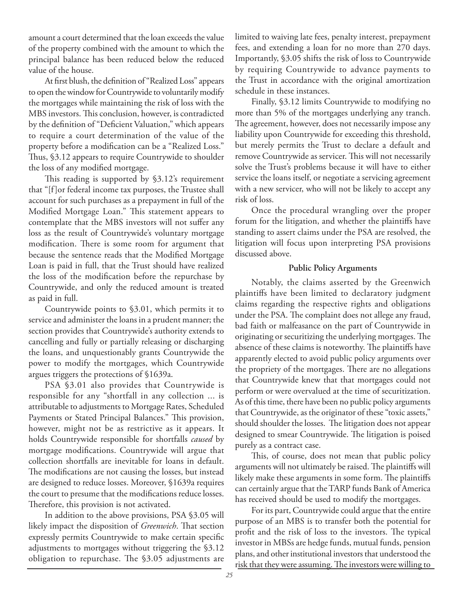amount a court determined that the loan exceeds the value of the property combined with the amount to which the principal balance has been reduced below the reduced value of the house.

At first blush, the definition of "Realized Loss" appears to open the window for Countrywide to voluntarily modify the mortgages while maintaining the risk of loss with the MBS investors. This conclusion, however, is contradicted by the definition of "Deficient Valuation," which appears to require a court determination of the value of the property before a modification can be a "Realized Loss." Thus, §3.12 appears to require Countrywide to shoulder the loss of any modified mortgage.

This reading is supported by  $$3.12$ 's requirement that "[f]or federal income tax purposes, the Trustee shall account for such purchases as a prepayment in full of the Modified Mortgage Loan." This statement appears to contemplate that the MBS investors will not suffer any loss as the result of Countrywide's voluntary mortgage modification. There is some room for argument that because the sentence reads that the Modified Mortgage Loan is paid in full, that the Trust should have realized the loss of the modification before the repurchase by Countrywide, and only the reduced amount is treated as paid in full.

Countrywide points to §3.01, which permits it to service and administer the loans in a prudent manner; the section provides that Countrywide's authority extends to cancelling and fully or partially releasing or discharging the loans, and unquestionably grants Countrywide the power to modify the mortgages, which Countrywide argues triggers the protections of §1639a.

PSA §3.01 also provides that Countrywide is responsible for any "shortfall in any collection ... is attributable to adjustments to Mortgage Rates, Scheduled Payments or Stated Principal Balances." This provision, however, might not be as restrictive as it appears. It holds Countrywide responsible for shortfalls *caused* by mortgage modifications. Countrywide will argue that collection shortfalls are inevitable for loans in default. The modifications are not causing the losses, but instead are designed to reduce losses. Moreover, §1639a requires the court to presume that the modifications reduce losses. Therefore, this provision is not activated.

In addition to the above provisions, PSA §3.05 will likely impact the disposition of *Greenwich*. That section expressly permits Countrywide to make certain specific adjustments to mortgages without triggering the §3.12 obligation to repurchase. The \$3.05 adjustments are limited to waiving late fees, penalty interest, prepayment fees, and extending a loan for no more than 270 days. Importantly, §3.05 shifts the risk of loss to Countrywide by requiring Countrywide to advance payments to the Trust in accordance with the original amortization schedule in these instances.

Finally, §3.12 limits Countrywide to modifying no more than 5% of the mortgages underlying any tranch. The agreement, however, does not necessarily impose any liability upon Countrywide for exceeding this threshold, but merely permits the Trust to declare a default and remove Countrywide as servicer. This will not necessarily solve the Trust's problems because it will have to either service the loans itself, or negotiate a servicing agreement with a new servicer, who will not be likely to accept any risk of loss.

Once the procedural wrangling over the proper forum for the litigation, and whether the plaintiffs have standing to assert claims under the PSA are resolved, the litigation will focus upon interpreting PSA provisions discussed above.

### **Public Policy Arguments**

Notably, the claims asserted by the Greenwich plaintiffs have been limited to declaratory judgment claims regarding the respective rights and obligations under the PSA. The complaint does not allege any fraud, bad faith or malfeasance on the part of Countrywide in originating or securitizing the underlying mortgages. The absence of these claims is noteworthy. The plaintiffs have apparently elected to avoid public policy arguments over the propriety of the mortgages. There are no allegations that Countrywide knew that that mortgages could not perform or were overvalued at the time of securitization. As of this time, there have been no public policy arguments that Countrywide, as the originator of these "toxic assets," should shoulder the losses. The litigation does not appear designed to smear Countrywide. The litigation is poised purely as a contract case.

This, of course, does not mean that public policy arguments will not ultimately be raised. The plaintiffs will likely make these arguments in some form. The plaintiffs can certainly argue that the TARP funds Bank of America has received should be used to modify the mortgages.

For its part, Countrywide could argue that the entire purpose of an MBS is to transfer both the potential for profit and the risk of loss to the investors. The typical investor in MBSs are hedge funds, mutual funds, pension plans, and other institutional investors that understood the risk that they were assuming. The investors were willing to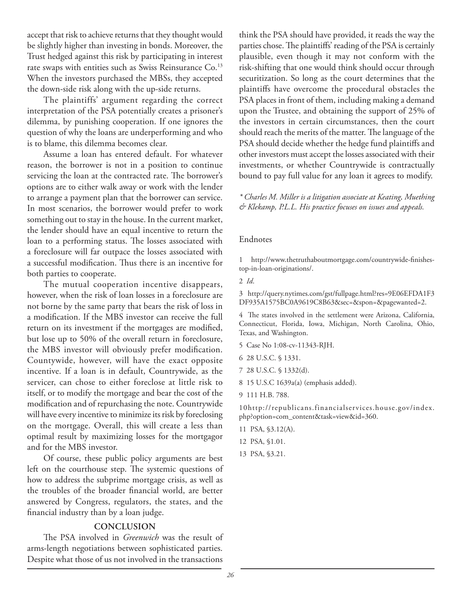accept that risk to achieve returns that they thought would be slightly higher than investing in bonds. Moreover, the Trust hedged against this risk by participating in interest rate swaps with entities such as Swiss Reinsurance Co.<sup>13</sup> When the investors purchased the MBSs, they accepted the down-side risk along with the up-side returns.

The plaintiffs' argument regarding the correct interpretation of the PSA potentially creates a prisoner's dilemma, by punishing cooperation. If one ignores the question of why the loans are underperforming and who is to blame, this dilemma becomes clear.

Assume a loan has entered default. For whatever reason, the borrower is not in a position to continue servicing the loan at the contracted rate. The borrower's options are to either walk away or work with the lender to arrange a payment plan that the borrower can service. In most scenarios, the borrower would prefer to work something out to stay in the house. In the current market, the lender should have an equal incentive to return the loan to a performing status. The losses associated with a foreclosure will far outpace the losses associated with a successful modification. Thus there is an incentive for both parties to cooperate.

The mutual cooperation incentive disappears, however, when the risk of loan losses in a foreclosure are not borne by the same party that bears the risk of loss in a modification. If the MBS investor can receive the full return on its investment if the mortgages are modified, but lose up to 50% of the overall return in foreclosure, the MBS investor will obviously prefer modification. Countywide, however, will have the exact opposite incentive. If a loan is in default, Countrywide, as the servicer, can chose to either foreclose at little risk to itself, or to modify the mortgage and bear the cost of the modification and of repurchasing the note. Countrywide will have every incentive to minimize its risk by foreclosing on the mortgage. Overall, this will create a less than optimal result by maximizing losses for the mortgagor and for the MBS investor.

Of course, these public policy arguments are best left on the courthouse step. The systemic questions of how to address the subprime mortgage crisis, as well as the troubles of the broader financial world, are better answered by Congress, regulators, the states, and the financial industry than by a loan judge.

### **CONCLUSION**

The PSA involved in *Greenwich* was the result of arms-length negotiations between sophisticated parties. Despite what those of us not involved in the transactions

think the PSA should have provided, it reads the way the parties chose. The plaintiffs' reading of the PSA is certainly plausible, even though it may not conform with the risk-shifting that one would think should occur through securitization. So long as the court determines that the plaintiffs have overcome the procedural obstacles the PSA places in front of them, including making a demand upon the Trustee, and obtaining the support of 25% of the investors in certain circumstances, then the court should reach the merits of the matter. The language of the PSA should decide whether the hedge fund plaintiffs and other investors must accept the losses associated with their investments, or whether Countrywide is contractually bound to pay full value for any loan it agrees to modify.

*\* Charles M. Miller is a litigation associate at Keating, Muething & Klekamp, P.L.L. His practice focuses on issues and appeals.*

### Endnotes

1 http://www.thetruthaboutmortgage.com/countrywide-finishestop-in-loan-originations/.

2 *Id*.

3 http://query.nytimes.com/gst/fullpage.html?res=9E06EFDA1F3 DF935A1575BC0A9619C8B63&sec=&spon=&pagewanted=2.

4 The states involved in the settlement were Arizona, California, Connecticut, Florida, Iowa, Michigan, North Carolina, Ohio, Texas, and Washington.

5 Case No 1:08-cv-11343-RJH.

- 6 28 U.S.C. § 1331.
- 7 28 U.S.C. § 1332(d).
- 8 15 U.S.C 1639a(a) (emphasis added).
- 9 111 H.B. 788.

10http://republicans.financialservices.house.gov/index. php?option=com\_content&task=view&id=360.

- 11 PSA, §3.12(A).
- 12 PSA, §1.01.
- 13 PSA, §3.21.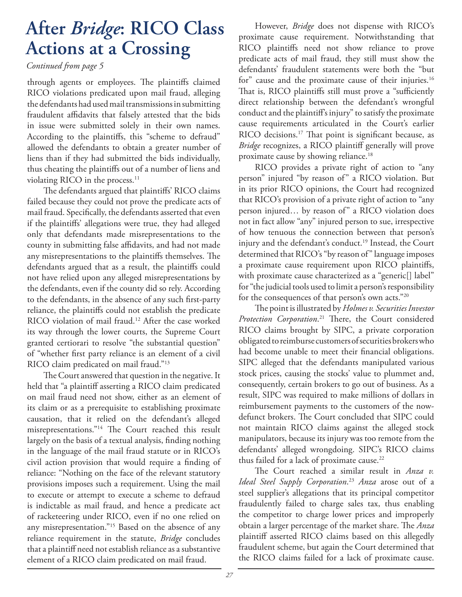# **After** *Bridge***: RICO Class Actions at a Crossing**

### *Continued from page 5*

through agents or employees. The plaintiffs claimed RICO violations predicated upon mail fraud, alleging the defendants had used mail transmissions in submitting fraudulent affidavits that falsely attested that the bids in issue were submitted solely in their own names. According to the plaintiffs, this "scheme to defraud" allowed the defendants to obtain a greater number of liens than if they had submitted the bids individually, thus cheating the plaintiffs out of a number of liens and violating RICO in the process.<sup>11</sup>

The defendants argued that plaintiffs' RICO claims failed because they could not prove the predicate acts of mail fraud. Specifically, the defendants asserted that even if the plaintiffs' allegations were true, they had alleged only that defendants made misrepresentations to the county in submitting false affidavits, and had not made any misrepresentations to the plaintiffs themselves. The defendants argued that as a result, the plaintiffs could not have relied upon any alleged misrepresentations by the defendants, even if the county did so rely. According to the defendants, in the absence of any such first-party reliance, the plaintiffs could not establish the predicate RICO violation of mail fraud.<sup>12</sup> After the case worked its way through the lower courts, the Supreme Court granted certiorari to resolve "the substantial question" of "whether first party reliance is an element of a civil RICO claim predicated on mail fraud."13

The Court answered that question in the negative. It held that "a plaintiff asserting a RICO claim predicated on mail fraud need not show, either as an element of its claim or as a prerequisite to establishing proximate causation, that it relied on the defendant's alleged misrepresentations."<sup>14</sup> The Court reached this result largely on the basis of a textual analysis, finding nothing in the language of the mail fraud statute or in RICO's civil action provision that would require a finding of reliance: "Nothing on the face of the relevant statutory provisions imposes such a requirement. Using the mail to execute or attempt to execute a scheme to defraud is indictable as mail fraud, and hence a predicate act of racketeering under RICO, even if no one relied on any misrepresentation."15 Based on the absence of any reliance requirement in the statute, *Bridge* concludes that a plaintiff need not establish reliance as a substantive element of a RICO claim predicated on mail fraud.

However, *Bridge* does not dispense with RICO's proximate cause requirement. Notwithstanding that RICO plaintiffs need not show reliance to prove predicate acts of mail fraud, they still must show the defendants' fraudulent statements were both the "but for" cause and the proximate cause of their injuries.<sup>16</sup> That is, RICO plaintiffs still must prove a "sufficiently direct relationship between the defendant's wrongful conduct and the plaintiff's injury" to satisfy the proximate cause requirements articulated in the Court's earlier RICO decisions.<sup>17</sup> That point is significant because, as *Bridge* recognizes, a RICO plaintiff generally will prove proximate cause by showing reliance.18

RICO provides a private right of action to "any person" injured "by reason of" a RICO violation. But in its prior RICO opinions, the Court had recognized that RICO's provision of a private right of action to "any person injured… by reason of" a RICO violation does not in fact allow "any" injured person to sue, irrespective of how tenuous the connection between that person's injury and the defendant's conduct.<sup>19</sup> Instead, the Court determined that RICO's "by reason of" language imposes a proximate cause requirement upon RICO plaintiffs, with proximate cause characterized as a "generic[] label" for "the judicial tools used to limit a person's responsibility for the consequences of that person's own acts."20

The point is illustrated by *Holmes v. Securities Investor* Protection Corporation.<sup>21</sup> There, the Court considered RICO claims brought by SIPC, a private corporation obligated to reimburse customers of securities brokers who had become unable to meet their financial obligations. SIPC alleged that the defendants manipulated various stock prices, causing the stocks' value to plummet and, consequently, certain brokers to go out of business. As a result, SIPC was required to make millions of dollars in reimbursement payments to the customers of the nowdefunct brokers. The Court concluded that SIPC could not maintain RICO claims against the alleged stock manipulators, because its injury was too remote from the defendants' alleged wrongdoing. SIPC's RICO claims thus failed for a lack of proximate cause.<sup>22</sup>

The Court reached a similar result in *Anza v*. *Ideal Steel Supply Corporation*. <sup>23</sup> *Anza* arose out of a steel supplier's allegations that its principal competitor fraudulently failed to charge sales tax, thus enabling the competitor to charge lower prices and improperly obtain a larger percentage of the market share. The *Anza* plaintiff asserted RICO claims based on this allegedly fraudulent scheme, but again the Court determined that the RICO claims failed for a lack of proximate cause.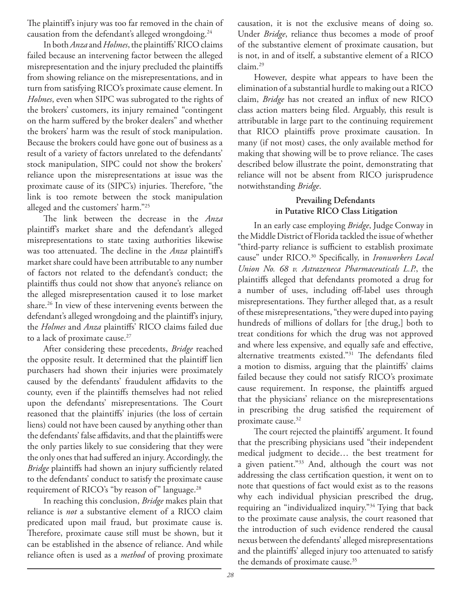The plaintiff's injury was too far removed in the chain of causation from the defendant's alleged wrongdoing.24

In both *Anza* and *Holmes*, the plaintiffs' RICO claims failed because an intervening factor between the alleged misrepresentation and the injury precluded the plaintiffs from showing reliance on the misrepresentations, and in turn from satisfying RICO's proximate cause element. In *Holmes*, even when SIPC was subrogated to the rights of the brokers' customers, its injury remained "contingent on the harm suffered by the broker dealers" and whether the brokers' harm was the result of stock manipulation. Because the brokers could have gone out of business as a result of a variety of factors unrelated to the defendants' stock manipulation, SIPC could not show the brokers' reliance upon the misrepresentations at issue was the proximate cause of its (SIPC's) injuries. Therefore, "the link is too remote between the stock manipulation alleged and the customers' harm."25

The link between the decrease in the *Anza* plaintiff's market share and the defendant's alleged misrepresentations to state taxing authorities likewise was too attenuated. The decline in the *Anza* plaintiff's market share could have been attributable to any number of factors not related to the defendant's conduct; the plaintiffs thus could not show that anyone's reliance on the alleged misrepresentation caused it to lose market share.26 In view of these intervening events between the defendant's alleged wrongdoing and the plaintiff's injury, the *Holmes* and *Anza* plaintiffs' RICO claims failed due to a lack of proximate cause.<sup>27</sup>

After considering these precedents, *Bridge* reached the opposite result. It determined that the plaintiff lien purchasers had shown their injuries were proximately caused by the defendants' fraudulent affidavits to the county, even if the plaintiffs themselves had not relied upon the defendants' misrepresentations. The Court reasoned that the plaintiffs' injuries (the loss of certain liens) could not have been caused by anything other than the defendants' false affidavits, and that the plaintiffs were the only parties likely to sue considering that they were the only ones that had suffered an injury. Accordingly, the *Bridge* plaintiffs had shown an injury sufficiently related to the defendants' conduct to satisfy the proximate cause requirement of RICO's "by reason of" language.<sup>28</sup>

In reaching this conclusion, *Bridge* makes plain that reliance is *not* a substantive element of a RICO claim predicated upon mail fraud, but proximate cause is. Therefore, proximate cause still must be shown, but it can be established in the absence of reliance. And while reliance often is used as a *method* of proving proximate

causation, it is not the exclusive means of doing so. Under *Bridge*, reliance thus becomes a mode of proof of the substantive element of proximate causation, but is not, in and of itself, a substantive element of a RICO claim.29

However, despite what appears to have been the elimination of a substantial hurdle to making out a RICO claim, *Bridge* has not created an influx of new RICO class action matters being filed. Arguably, this result is attributable in large part to the continuing requirement that RICO plaintiffs prove proximate causation. In many (if not most) cases, the only available method for making that showing will be to prove reliance. The cases described below illustrate the point, demonstrating that reliance will not be absent from RICO jurisprudence notwithstanding *Bridge*.

### **Prevailing Defendants in Putative RICO Class Litigation**

In an early case employing *Bridge*, Judge Conway in the Middle District of Florida tackled the issue of whether "third-party reliance is sufficient to establish proximate cause" under RICO.<sup>30</sup> Specifically, in *Ironworkers Local Union No. 68 v. Astrazeneca Pharmaceuticals L.P.*, the plaintiffs alleged that defendants promoted a drug for a number of uses, including off-label uses through misrepresentations. They further alleged that, as a result of these misrepresentations, "they were duped into paying hundreds of millions of dollars for [the drug,] both to treat conditions for which the drug was not approved and where less expensive, and equally safe and effective, alternative treatments existed."31 The defendants filed a motion to dismiss, arguing that the plaintiffs' claims failed because they could not satisfy RICO's proximate cause requirement. In response, the plaintiffs argued that the physicians' reliance on the misrepresentations in prescribing the drug satisfied the requirement of proximate cause.32

The court rejected the plaintiffs' argument. It found that the prescribing physicians used "their independent medical judgment to decide… the best treatment for a given patient."33 And, although the court was not addressing the class certification question, it went on to note that questions of fact would exist as to the reasons why each individual physician prescribed the drug, requiring an "individualized inquiry."34 Tying that back to the proximate cause analysis, the court reasoned that the introduction of such evidence rendered the causal nexus between the defendants' alleged misrepresentations and the plaintiffs' alleged injury too attenuated to satisfy the demands of proximate cause.<sup>35</sup>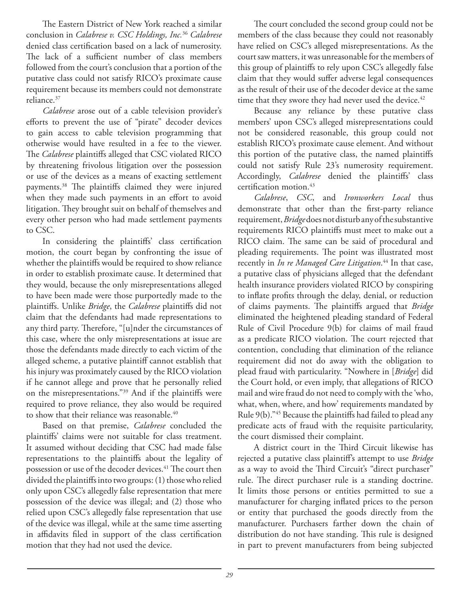The Eastern District of New York reached a similar conclusion in *Calabrese v. CSC Holdings, Inc.*<sup>36</sup> *Calabrese* denied class certification based on a lack of numerosity. The lack of a sufficient number of class members followed from the court's conclusion that a portion of the putative class could not satisfy RICO's proximate cause requirement because its members could not demonstrate reliance.37

*Calabrese* arose out of a cable television provider's efforts to prevent the use of "pirate" decoder devices to gain access to cable television programming that otherwise would have resulted in a fee to the viewer. The *Calabrese* plaintiffs alleged that CSC violated RICO by threatening frivolous litigation over the possession or use of the devices as a means of exacting settlement payments.<sup>38</sup> The plaintiffs claimed they were injured when they made such payments in an effort to avoid litigation. They brought suit on behalf of themselves and every other person who had made settlement payments to CSC.

In considering the plaintiffs' class certification motion, the court began by confronting the issue of whether the plaintiffs would be required to show reliance in order to establish proximate cause. It determined that they would, because the only misrepresentations alleged to have been made were those purportedly made to the plaintiffs. Unlike *Bridge*, the *Calabrese* plaintiffs did not claim that the defendants had made representations to any third party. Therefore, "[u]nder the circumstances of this case, where the only misrepresentations at issue are those the defendants made directly to each victim of the alleged scheme, a putative plaintiff cannot establish that his injury was proximately caused by the RICO violation if he cannot allege and prove that he personally relied on the misrepresentations."<sup>39</sup> And if the plaintiffs were required to prove reliance, they also would be required to show that their reliance was reasonable.<sup>40</sup>

Based on that premise, *Calabrese* concluded the plaintiffs' claims were not suitable for class treatment. It assumed without deciding that CSC had made false representations to the plaintiffs about the legality of possession or use of the decoder devices.<sup>41</sup> The court then divided the plaintiffs into two groups: (1) those who relied only upon CSC's allegedly false representation that mere possession of the device was illegal; and (2) those who relied upon CSC's allegedly false representation that use of the device was illegal, while at the same time asserting in affidavits filed in support of the class certification motion that they had not used the device.

The court concluded the second group could not be members of the class because they could not reasonably have relied on CSC's alleged misrepresentations. As the court saw matters, it was unreasonable for the members of this group of plaintiffs to rely upon CSC's allegedly false claim that they would suffer adverse legal consequences as the result of their use of the decoder device at the same time that they swore they had never used the device.<sup>42</sup>

Because any reliance by these putative class members' upon CSC's alleged misrepresentations could not be considered reasonable, this group could not establish RICO's proximate cause element. And without this portion of the putative class, the named plaintiffs could not satisfy Rule 23's numerosity requirement. Accordingly, *Calabrese* denied the plaintiffs' class certification motion.<sup>43</sup>

*Calabrese*, *CSC*, and *Ironworkers Local* thus demonstrate that other than the first-party reliance requirement, *Bridge* does not disturb any of the substantive requirements RICO plaintiffs must meet to make out a RICO claim. The same can be said of procedural and pleading requirements. The point was illustrated most recently in *In re Managed Care Litigation*. 44 In that case, a putative class of physicians alleged that the defendant health insurance providers violated RICO by conspiring to inflate profits through the delay, denial, or reduction of claims payments. The plaintiffs argued that **Bridge** eliminated the heightened pleading standard of Federal Rule of Civil Procedure 9(b) for claims of mail fraud as a predicate RICO violation. The court rejected that contention, concluding that elimination of the reliance requirement did not do away with the obligation to plead fraud with particularity. "Nowhere in [*Bridge*] did the Court hold, or even imply, that allegations of RICO mail and wire fraud do not need to comply with the 'who, what, when, where, and how' requirements mandated by Rule 9(b)."45 Because the plaintiffs had failed to plead any predicate acts of fraud with the requisite particularity, the court dismissed their complaint.

A district court in the Third Circuit likewise has rejected a putative class plaintiff's attempt to use *Bridge* as a way to avoid the Third Circuit's "direct purchaser" rule. The direct purchaser rule is a standing doctrine. It limits those persons or entities permitted to sue a manufacturer for charging inflated prices to the person or entity that purchased the goods directly from the manufacturer. Purchasers farther down the chain of distribution do not have standing. This rule is designed in part to prevent manufacturers from being subjected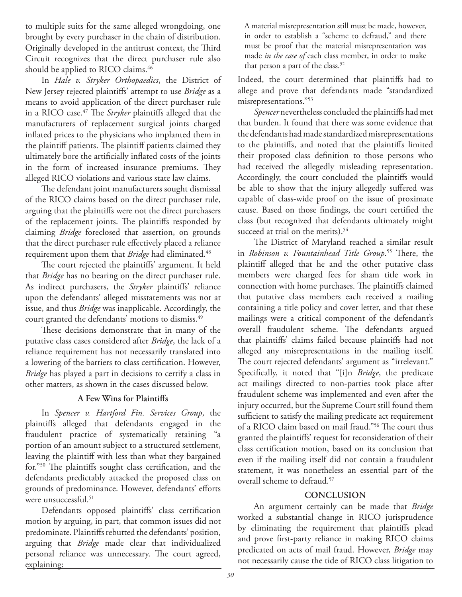to multiple suits for the same alleged wrongdoing, one brought by every purchaser in the chain of distribution. Originally developed in the antitrust context, the Third Circuit recognizes that the direct purchaser rule also should be applied to RICO claims.<sup>46</sup>

In *Hale v. Stryker Orthopaedics*, the District of New Jersey rejected plaintiffs' attempt to use *Bridge* as a means to avoid application of the direct purchaser rule in a RICO case.<sup>47</sup> The *Stryker* plaintiffs alleged that the manufacturers of replacement surgical joints charged inflated prices to the physicians who implanted them in the plaintiff patients. The plaintiff patients claimed they ultimately bore the artificially inflated costs of the joints in the form of increased insurance premiums. They alleged RICO violations and various state law claims.

The defendant joint manufacturers sought dismissal of the RICO claims based on the direct purchaser rule, arguing that the plaintiffs were not the direct purchasers of the replacement joints. The plaintiffs responded by claiming *Bridge* foreclosed that assertion, on grounds that the direct purchaser rule effectively placed a reliance requirement upon them that *Bridge* had eliminated.48

The court rejected the plaintiffs' argument. It held that *Bridge* has no bearing on the direct purchaser rule. As indirect purchasers, the *Stryker* plaintiffs' reliance upon the defendants' alleged misstatements was not at issue, and thus *Bridge* was inapplicable. Accordingly, the court granted the defendants' motions to dismiss.49

These decisions demonstrate that in many of the putative class cases considered after *Bridge*, the lack of a reliance requirement has not necessarily translated into a lowering of the barriers to class certification. However, *Bridge* has played a part in decisions to certify a class in other matters, as shown in the cases discussed below.

### **A Few Wins for Plaintiff s**

In *Spencer v. Hartford Fin. Services Group*, the plaintiffs alleged that defendants engaged in the fraudulent practice of systematically retaining "a portion of an amount subject to a structured settlement, leaving the plaintiff with less than what they bargained for."<sup>50</sup> The plaintiffs sought class certification, and the defendants predictably attacked the proposed class on grounds of predominance. However, defendants' efforts were unsuccessful.<sup>51</sup>

Defendants opposed plaintiffs' class certification motion by arguing, in part, that common issues did not predominate. Plaintiffs rebutted the defendants' position, arguing that *Bridge* made clear that individualized personal reliance was unnecessary. The court agreed, explaining:

A material misrepresentation still must be made, however, in order to establish a "scheme to defraud," and there must be proof that the material misrepresentation was made *in the case of* each class member, in order to make that person a part of the class.<sup>52</sup>

Indeed, the court determined that plaintiffs had to allege and prove that defendants made "standardized misrepresentations."<sup>53</sup>

Spencer nevertheless concluded the plaintiffs had met that burden. It found that there was some evidence that the defendants had made standardized misrepresentations to the plaintiffs, and noted that the plaintiffs limited their proposed class definition to those persons who had received the allegedly misleading representation. Accordingly, the court concluded the plaintiffs would be able to show that the injury allegedly suffered was capable of class-wide proof on the issue of proximate cause. Based on those findings, the court certified the class (but recognized that defendants ultimately might succeed at trial on the merits).<sup>54</sup>

The District of Maryland reached a similar result in *Robinson v. Fountainhead Title Group*.<sup>55</sup> There, the plaintiff alleged that he and the other putative class members were charged fees for sham title work in connection with home purchases. The plaintiffs claimed that putative class members each received a mailing containing a title policy and cover letter, and that these mailings were a critical component of the defendant's overall fraudulent scheme. The defendants argued that plaintiffs' claims failed because plaintiffs had not alleged any misrepresentations in the mailing itself. The court rejected defendants' argument as "irrelevant." Specifically, it noted that "[i]n *Bridge*, the predicate act mailings directed to non-parties took place after fraudulent scheme was implemented and even after the injury occurred, but the Supreme Court still found them sufficient to satisfy the mailing predicate act requirement of a RICO claim based on mail fraud."<sup>56</sup> The court thus granted the plaintiffs' request for reconsideration of their class certification motion, based on its conclusion that even if the mailing itself did not contain a fraudulent statement, it was nonetheless an essential part of the overall scheme to defraud.<sup>57</sup>

### **CONCLUSION**

An argument certainly can be made that *Bridge* worked a substantial change in RICO jurisprudence by eliminating the requirement that plaintiffs plead and prove first-party reliance in making RICO claims predicated on acts of mail fraud. However, *Bridge* may not necessarily cause the tide of RICO class litigation to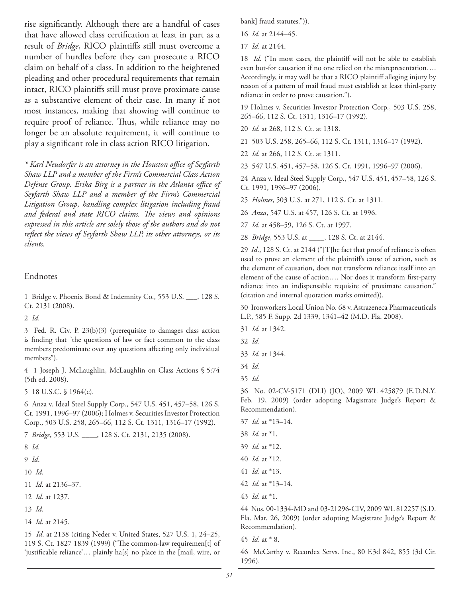rise significantly. Although there are a handful of cases that have allowed class certification at least in part as a result of *Bridge*, RICO plaintiffs still must overcome a number of hurdles before they can prosecute a RICO claim on behalf of a class. In addition to the heightened pleading and other procedural requirements that remain intact, RICO plaintiffs still must prove proximate cause as a substantive element of their case. In many if not most instances, making that showing will continue to require proof of reliance. Thus, while reliance may no longer be an absolute requirement, it will continue to play a significant role in class action RICO litigation.

*\* Karl Neudorfer is an attorney in the Houston offi ce of Seyfarth Shaw LLP and a member of the Firm's Commercial Class Action Defense Group. Erika Birg is a partner in the Atlanta office of Seyfarth Shaw LLP and a member of the Firm's Commercial Litigation Group, handling complex litigation including fraud*  and federal and state RICO claims. The views and opinions *expressed in this article are solely those of the authors and do not*  reflect the views of Seyfarth Shaw LLP, its other attorneys, or its *clients.* 

### Endnotes

1 Bridge v. Phoenix Bond & Indemnity Co., 553 U.S. \_\_\_, 128 S. Ct. 2131 (2008).

2 *Id*.

3 Fed. R. Civ. P. 23(b)(3) (prerequisite to damages class action is finding that "the questions of law or fact common to the class members predominate over any questions affecting only individual members").

4 1 Joseph J. McLaughlin, McLaughlin on Class Actions § 5:74 (5th ed. 2008).

5 18 U.S.C. § 1964(c).

6 Anza v. Ideal Steel Supply Corp., 547 U.S. 451, 457–58, 126 S. Ct. 1991, 1996–97 (2006); Holmes v. Securities Investor Protection Corp., 503 U.S. 258, 265–66, 112 S. Ct. 1311, 1316–17 (1992).

7 *Bridge*, 553 U.S. \_\_\_\_, 128 S. Ct. 2131, 2135 (2008).

- 9 *Id*.
- 10 *Id*.
- 11 *Id*. at 2136–37.
- 12 *Id*. at 1237.
- 13 *Id*.
- 14 *Id*. at 2145.

15 *Id*. at 2138 (citing Neder v. United States, 527 U.S. 1, 24–25, 119 S. Ct. 1827 1839 (1999) ("The common-law requiremen[t] of 'justificable reliance'... plainly ha[s] no place in the [mail, wire, or

bank] fraud statutes.")).

- 16 *Id*. at 2144–45.
- 17 *Id*. at 2144.

18 *Id*. ("In most cases, the plaintiff will not be able to establish even but-for causation if no one relied on the misrepresentation…. Accordingly, it may well be that a RICO plaintiff alleging injury by reason of a pattern of mail fraud must establish at least third-party reliance in order to prove causation.").

19 Holmes v. Securities Investor Protection Corp., 503 U.S. 258, 265–66, 112 S. Ct. 1311, 1316–17 (1992).

- 20 *Id*. at 268, 112 S. Ct. at 1318.
- 21 503 U.S. 258, 265–66, 112 S. Ct. 1311, 1316–17 (1992).
- 22 *Id*. at 266, 112 S. Ct. at 1311.

23 547 U.S. 451, 457–58, 126 S. Ct. 1991, 1996–97 (2006).

24 Anza v. Ideal Steel Supply Corp., 547 U.S. 451, 457–58, 126 S. Ct. 1991, 1996–97 (2006).

25 *Holmes*, 503 U.S. at 271, 112 S. Ct. at 1311.

26 *Anza*, 547 U.S. at 457, 126 S. Ct. at 1996.

27 *Id*. at 458–59, 126 S. Ct. at 1997.

28 *Bridge*, 553 U.S. at \_\_\_\_, 128 S. Ct. at 2144.

29 *Id*., 128 S. Ct. at 2144 ("[T]he fact that proof of reliance is often used to prove an element of the plaintiff's cause of action, such as the element of causation, does not transform reliance itself into an element of the cause of action.... Nor does it transform first-party reliance into an indispensable requisite of proximate causation." (citation and internal quotation marks omitted)).

30 Ironworkers Local Union No. 68 v. Astrazeneca Pharmaceuticals L.P., 585 F. Supp. 2d 1339, 1341–42 (M.D. Fla. 2008).

- 31 *Id*. at 1342.
- 32 *Id*.
- 33 *Id*. at 1344.
- 34 *Id*.
- 35 *Id*.

36 No. 02-CV-5171 (DLI) (JO), 2009 WL 425879 (E.D.N.Y. Feb. 19, 2009) (order adopting Magistrate Judge's Report & Recommendation).

- 37 *Id*. at \*13–14.
- 38 *Id*. at \*1.
- 39 *Id*. at \*12.
- 40 *Id*. at \*12.
- 41 *Id*. at \*13.
- 42 *Id*. at \*13–14.
- 43 *Id*. at \*1.

44 Nos. 00-1334-MD and 03-21296-CIV, 2009 WL 812257 (S.D. Fla. Mar. 26, 2009) (order adopting Magistrate Judge's Report & Recommendation).

45 *Id*. at \* 8.

46 McCarthy v. Recordex Servs. Inc., 80 F.3d 842, 855 (3d Cir. 1996).

<sup>8</sup> *Id*.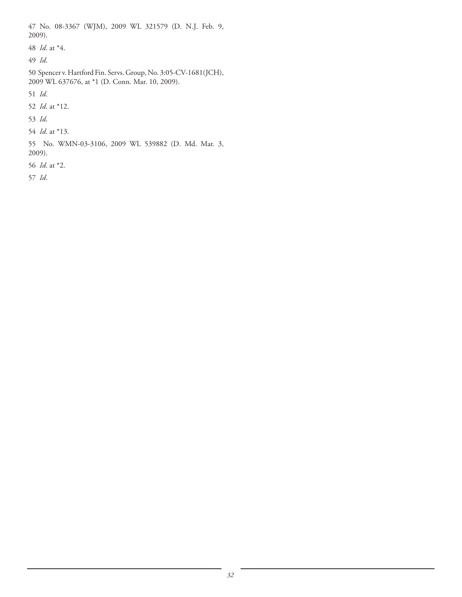47 No. 08-3367 (WJM), 2009 WL 321579 (D. N.J. Feb. 9, 2009). 48 *Id*. at \*4. 49 *Id*. 50 Spencer v. Hartford Fin. Servs. Group, No. 3:05-CV-1681(JCH), 2009 WL 637676, at \*1 (D. Conn. Mar. 10, 2009). 51 *Id*. 52 *Id*. at \*12. 53 *Id*. 54 *Id*. at \*13. 55 No. WMN-03-3106, 2009 WL 539882 (D. Md. Mar. 3, 2009).

56 *Id*. at \*2.

57 *Id*.